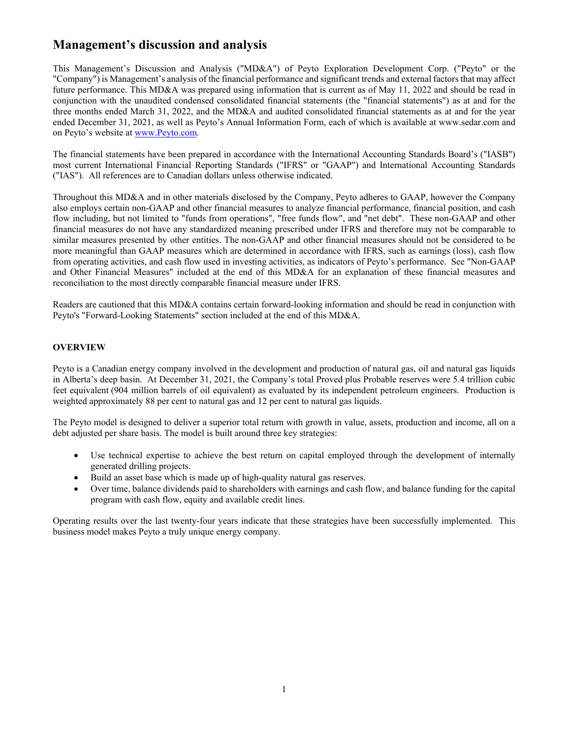## **Management's discussion and analysis**

This Management's Discussion and Analysis ("MD&A") of Peyto Exploration Development Corp. ("Peyto" or the "Company") is Management's analysis of the financial performance and significant trends and external factors that may affect future performance. This MD&A was prepared using information that is current as of May 11, 2022 and should be read in conjunction with the unaudited condensed consolidated financial statements (the "financial statements") as at and for the three months ended March 31, 2022, and the MD&A and audited consolidated financial statements as at and for the year ended December 31, 2021, as well as Peyto's Annual Information Form, each of which is available at www.sedar.com and on Peyto's website at www.Peyto.com.

The financial statements have been prepared in accordance with the International Accounting Standards Board's ("IASB") most current International Financial Reporting Standards ("IFRS" or "GAAP") and International Accounting Standards ("IAS"). All references are to Canadian dollars unless otherwise indicated.

Throughout this MD&A and in other materials disclosed by the Company, Peyto adheres to GAAP, however the Company also employs certain non-GAAP and other financial measures to analyze financial performance, financial position, and cash flow including, but not limited to "funds from operations", "free funds flow", and "net debt". These non-GAAP and other financial measures do not have any standardized meaning prescribed under IFRS and therefore may not be comparable to similar measures presented by other entities. The non-GAAP and other financial measures should not be considered to be more meaningful than GAAP measures which are determined in accordance with IFRS, such as earnings (loss), cash flow from operating activities, and cash flow used in investing activities, as indicators of Peyto's performance. See "Non-GAAP and Other Financial Measures" included at the end of this MD&A for an explanation of these financial measures and reconciliation to the most directly comparable financial measure under IFRS.

Readers are cautioned that this MD&A contains certain forward-looking information and should be read in conjunction with Peyto's "Forward-Looking Statements" section included at the end of this MD&A.

## **OVERVIEW**

Peyto is a Canadian energy company involved in the development and production of natural gas, oil and natural gas liquids in Alberta's deep basin. At December 31, 2021, the Company's total Proved plus Probable reserves were 5.4 trillion cubic feet equivalent (904 million barrels of oil equivalent) as evaluated by its independent petroleum engineers. Production is weighted approximately 88 per cent to natural gas and 12 per cent to natural gas liquids.

The Peyto model is designed to deliver a superior total return with growth in value, assets, production and income, all on a debt adjusted per share basis. The model is built around three key strategies:

- Use technical expertise to achieve the best return on capital employed through the development of internally generated drilling projects.
- Build an asset base which is made up of high-quality natural gas reserves.
- Over time, balance dividends paid to shareholders with earnings and cash flow, and balance funding for the capital program with cash flow, equity and available credit lines.

Operating results over the last twenty-four years indicate that these strategies have been successfully implemented. This business model makes Peyto a truly unique energy company.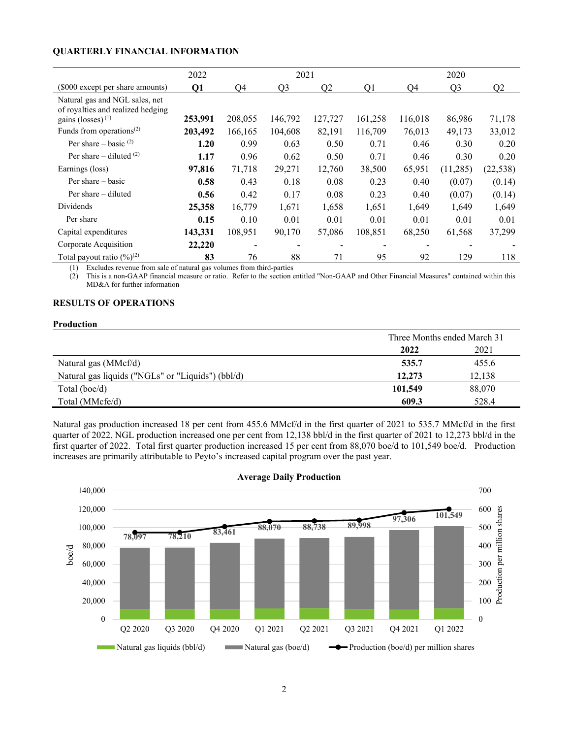## **QUARTERLY FINANCIAL INFORMATION**

|                                                                     | 2022    |         | 2021           |                |         |         | 2020           |           |
|---------------------------------------------------------------------|---------|---------|----------------|----------------|---------|---------|----------------|-----------|
| (\$000 except per share amounts)                                    | Q1      | Q4      | Q <sub>3</sub> | Q <sub>2</sub> | Q1      | Q4      | Q <sub>3</sub> | Q2        |
| Natural gas and NGL sales, net<br>of royalties and realized hedging |         |         |                |                |         |         |                |           |
| gains (losses) $(1)$                                                | 253,991 | 208,055 | 146,792        | 127,727        | 161,258 | 116,018 | 86,986         | 71,178    |
| Funds from operations <sup><math>(2)</math></sup>                   | 203,492 | 166,165 | 104,608        | 82,191         | 116,709 | 76,013  | 49,173         | 33,012    |
| Per share – basic $(2)$                                             | 1.20    | 0.99    | 0.63           | 0.50           | 0.71    | 0.46    | 0.30           | 0.20      |
| Per share – diluted $(2)$                                           | 1.17    | 0.96    | 0.62           | 0.50           | 0.71    | 0.46    | 0.30           | 0.20      |
| Earnings (loss)                                                     | 97,816  | 71,718  | 29,271         | 12,760         | 38,500  | 65,951  | (11,285)       | (22, 538) |
| Per share – basic                                                   | 0.58    | 0.43    | 0.18           | 0.08           | 0.23    | 0.40    | (0.07)         | (0.14)    |
| Per share – diluted                                                 | 0.56    | 0.42    | 0.17           | 0.08           | 0.23    | 0.40    | (0.07)         | (0.14)    |
| <b>Dividends</b>                                                    | 25,358  | 16,779  | 1,671          | 1,658          | 1,651   | 1,649   | 1,649          | 1,649     |
| Per share                                                           | 0.15    | 0.10    | 0.01           | 0.01           | 0.01    | 0.01    | 0.01           | 0.01      |
| Capital expenditures                                                | 143,331 | 108,951 | 90,170         | 57,086         | 108,851 | 68,250  | 61,568         | 37,299    |
| Corporate Acquisition                                               | 22,220  |         |                |                |         |         |                |           |
| Total payout ratio $(\frac{9}{6})^{(2)}$                            | 83      | 76      | 88             | 71             | 95      | 92      | 129            | 118       |

(1) Excludes revenue from sale of natural gas volumes from third-parties

(2) This is a non-GAAP financial measure or ratio. Refer to the section entitled "Non-GAAP and Other Financial Measures" contained within this MD&A for further information

## **RESULTS OF OPERATIONS**

#### **Production**

|                                                   | Three Months ended March 31 |        |
|---------------------------------------------------|-----------------------------|--------|
|                                                   | 2022                        | 2021   |
| Natural gas (MMcf/d)                              | 535.7                       | 455.6  |
| Natural gas liquids ("NGLs" or "Liquids") (bbl/d) | 12,273                      | 12,138 |
| Total (boe/d)                                     | 101,549                     | 88,070 |
| Total (MMcfe/d)                                   | 609.3                       | 528.4  |

Natural gas production increased 18 per cent from 455.6 MMcf/d in the first quarter of 2021 to 535.7 MMcf/d in the first quarter of 2022. NGL production increased one per cent from 12,138 bbl/d in the first quarter of 2021 to 12,273 bbl/d in the first quarter of 2022. Total first quarter production increased 15 per cent from 88,070 boe/d to 101,549 boe/d. Production increases are primarily attributable to Peyto's increased capital program over the past year.



#### **Average Daily Production**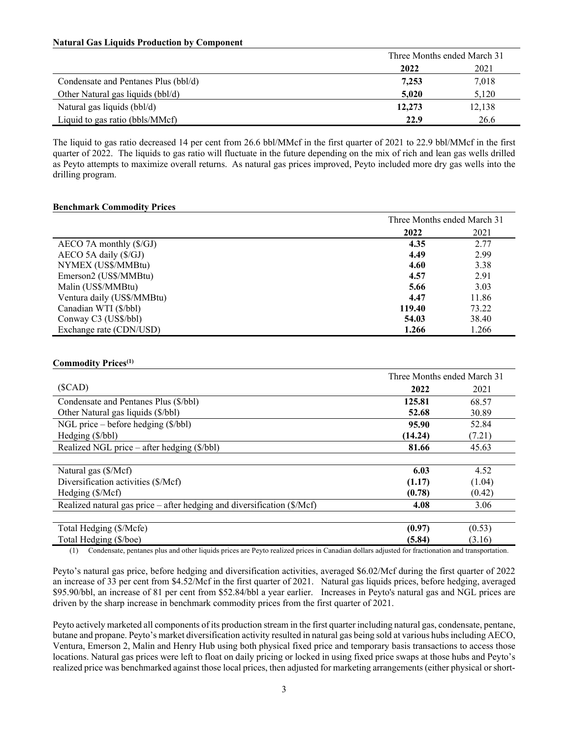#### **Natural Gas Liquids Production by Component**

|                                      | Three Months ended March 31 |        |
|--------------------------------------|-----------------------------|--------|
|                                      | 2022                        | 2021   |
| Condensate and Pentanes Plus (bbl/d) | 7,253                       | 7,018  |
| Other Natural gas liquids (bbl/d)    | 5.020                       | 5,120  |
| Natural gas liquids (bbl/d)          | 12,273                      | 12,138 |
| Liquid to gas ratio (bbls/MMcf)      | 22.9                        | 26.6   |

The liquid to gas ratio decreased 14 per cent from 26.6 bbl/MMcf in the first quarter of 2021 to 22.9 bbl/MMcf in the first quarter of 2022. The liquids to gas ratio will fluctuate in the future depending on the mix of rich and lean gas wells drilled as Peyto attempts to maximize overall returns. As natural gas prices improved, Peyto included more dry gas wells into the drilling program.

#### **Benchmark Commodity Prices**

|                                   | Three Months ended March 31 |       |
|-----------------------------------|-----------------------------|-------|
|                                   | 2022                        | 2021  |
| $AECO$ 7A monthly $(\frac{C}{J})$ | 4.35                        | 2.77  |
| $AECO$ 5A daily $(\frac{C}{GJ})$  | 4.49                        | 2.99  |
| NYMEX (US\$/MMBtu)                | 4.60                        | 3.38  |
| Emerson2 (US\$/MMBtu)             | 4.57                        | 2.91  |
| Malin (US\$/MMBtu)                | 5.66                        | 3.03  |
| Ventura daily (US\$/MMBtu)        | 4.47                        | 11.86 |
| Canadian WTI (\$/bbl)             | 119.40                      | 73.22 |
| Conway C3 (US\$/bbl)              | 54.03                       | 38.40 |
| Exchange rate (CDN/USD)           | 1.266                       | 1.266 |

#### **Commodity Prices(1)**

|                                                                                  | Three Months ended March 31 |        |
|----------------------------------------------------------------------------------|-----------------------------|--------|
| (SCAD)                                                                           | 2022                        | 2021   |
| Condensate and Pentanes Plus (\$/bbl)                                            | 125.81                      | 68.57  |
| Other Natural gas liquids (\$/bbl)                                               | 52.68                       | 30.89  |
| NGL price – before hedging $(\frac{8}{bbl})$                                     | 95.90                       | 52.84  |
| Hedging (\$/bbl)                                                                 | (14.24)                     | (7.21) |
| Realized NGL price – after hedging (\$/bbl)                                      | 81.66                       | 45.63  |
|                                                                                  |                             |        |
| Natural gas (\$/Mcf)                                                             | 6.03                        | 4.52   |
| Diversification activities (\$/Mcf)                                              | (1.17)                      | (1.04) |
| Hedging (\$/Mcf)                                                                 | (0.78)                      | (0.42) |
| Realized natural gas price – after hedging and diversification $(\frac{C}{Mcf})$ | 4.08                        | 3.06   |
|                                                                                  |                             |        |
| Total Hedging (\$/Mcfe)                                                          | (0.97)                      | (0.53) |
| Total Hedging (\$/boe)                                                           | (5.84)                      | (3.16) |

(1) Condensate, pentanes plus and other liquids prices are Peyto realized prices in Canadian dollars adjusted for fractionation and transportation.

Peyto's natural gas price, before hedging and diversification activities, averaged \$6.02/Mcf during the first quarter of 2022 an increase of 33 per cent from \$4.52/Mcf in the first quarter of 2021. Natural gas liquids prices, before hedging, averaged \$95.90/bbl, an increase of 81 per cent from \$52.84/bbl a year earlier. Increases in Peyto's natural gas and NGL prices are driven by the sharp increase in benchmark commodity prices from the first quarter of 2021.

Peyto actively marketed all components of its production stream in the first quarter including natural gas, condensate, pentane, butane and propane. Peyto's market diversification activity resulted in natural gas being sold at various hubs including AECO, Ventura, Emerson 2, Malin and Henry Hub using both physical fixed price and temporary basis transactions to access those locations. Natural gas prices were left to float on daily pricing or locked in using fixed price swaps at those hubs and Peyto's realized price was benchmarked against those local prices, then adjusted for marketing arrangements (either physical or short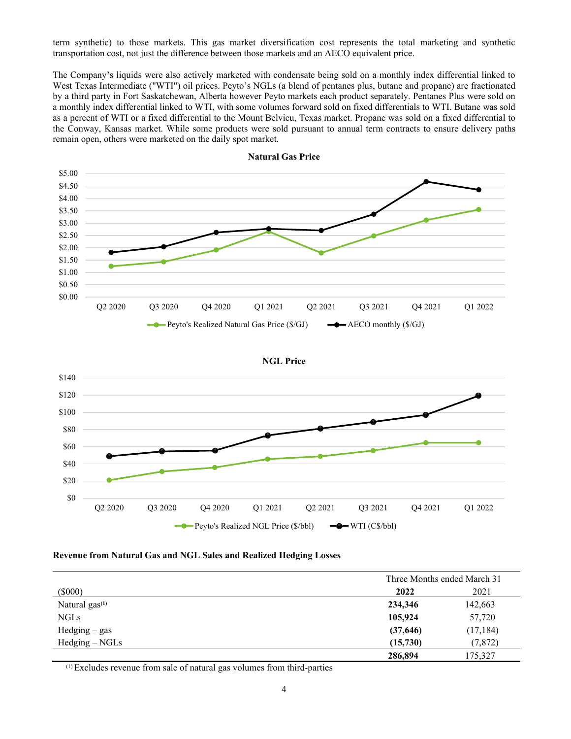term synthetic) to those markets. This gas market diversification cost represents the total marketing and synthetic transportation cost, not just the difference between those markets and an AECO equivalent price.

The Company's liquids were also actively marketed with condensate being sold on a monthly index differential linked to West Texas Intermediate ("WTI") oil prices. Peyto's NGLs (a blend of pentanes plus, butane and propane) are fractionated by a third party in Fort Saskatchewan, Alberta however Peyto markets each product separately. Pentanes Plus were sold on a monthly index differential linked to WTI, with some volumes forward sold on fixed differentials to WTI. Butane was sold as a percent of WTI or a fixed differential to the Mount Belvieu, Texas market. Propane was sold on a fixed differential to the Conway, Kansas market. While some products were sold pursuant to annual term contracts to ensure delivery paths remain open, others were marketed on the daily spot market.



**Natural Gas Price** 

**NGL Price**



#### **Revenue from Natural Gas and NGL Sales and Realized Hedging Losses**

|                   | Three Months ended March 31 |           |  |
|-------------------|-----------------------------|-----------|--|
| $(\$000)$         | 2022                        | 2021      |  |
| Natural $gas(1)$  | 234,346                     | 142,663   |  |
| <b>NGLs</b>       | 105,924                     | 57,720    |  |
| $H$ edging – gas  | (37, 646)                   | (17, 184) |  |
| $H$ edging – NGLs | (15,730)                    | (7, 872)  |  |
|                   | 286,894                     | 175,327   |  |

(1)Excludes revenue from sale of natural gas volumes from third-parties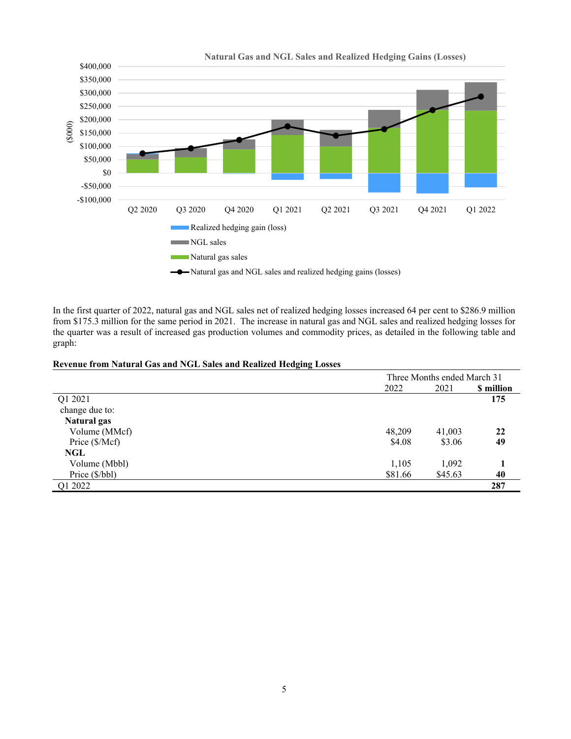

In the first quarter of 2022, natural gas and NGL sales net of realized hedging losses increased 64 per cent to \$286.9 million from \$175.3 million for the same period in 2021. The increase in natural gas and NGL sales and realized hedging losses for the quarter was a result of increased gas production volumes and commodity prices, as detailed in the following table and graph:

## **Revenue from Natural Gas and NGL Sales and Realized Hedging Losses**

|                    |         | Three Months ended March 31 |            |  |
|--------------------|---------|-----------------------------|------------|--|
|                    | 2022    | 2021                        | \$ million |  |
| Q1 2021            |         |                             | 175        |  |
| change due to:     |         |                             |            |  |
| <b>Natural gas</b> |         |                             |            |  |
| Volume (MMcf)      | 48,209  | 41,003                      | 22         |  |
| Price (\$/Mcf)     | \$4.08  | \$3.06                      | 49         |  |
| NGL                |         |                             |            |  |
| Volume (Mbbl)      | 1,105   | 1,092                       |            |  |
| Price (\$/bbl)     | \$81.66 | \$45.63                     | 40         |  |
| Q1 2022            |         |                             | 287        |  |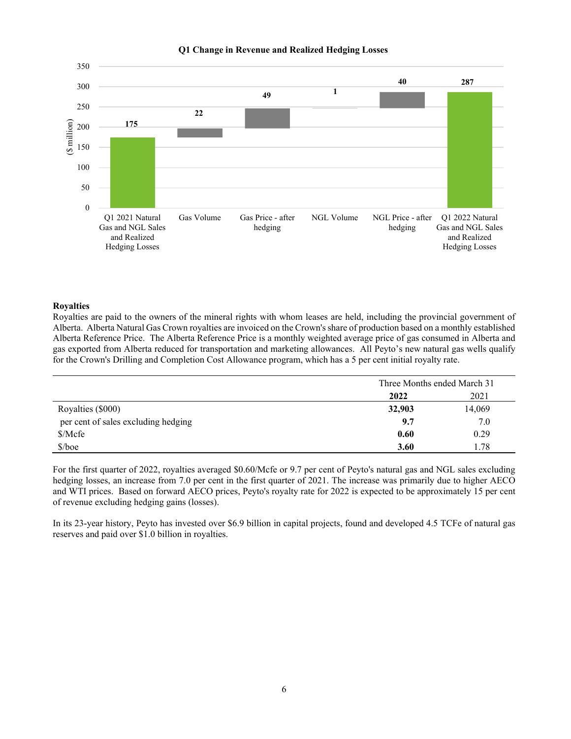



#### **Royalties**

Royalties are paid to the owners of the mineral rights with whom leases are held, including the provincial government of Alberta. Alberta Natural Gas Crown royalties are invoiced on the Crown's share of production based on a monthly established Alberta Reference Price. The Alberta Reference Price is a monthly weighted average price of gas consumed in Alberta and gas exported from Alberta reduced for transportation and marketing allowances. All Peyto's new natural gas wells qualify for the Crown's Drilling and Completion Cost Allowance program, which has a 5 per cent initial royalty rate.

|                                     | Three Months ended March 31 |        |
|-------------------------------------|-----------------------------|--------|
|                                     | 2021<br>2022                |        |
| Royalties (\$000)                   | 32,903                      | 14,069 |
| per cent of sales excluding hedging | 9.7                         | 7.0    |
| \$/Mcfe                             | 0.60                        | 0.29   |
| $$/$ boe                            | 3.60                        | . 78   |

For the first quarter of 2022, royalties averaged \$0.60/Mcfe or 9.7 per cent of Peyto's natural gas and NGL sales excluding hedging losses, an increase from 7.0 per cent in the first quarter of 2021. The increase was primarily due to higher AECO and WTI prices. Based on forward AECO prices, Peyto's royalty rate for 2022 is expected to be approximately 15 per cent of revenue excluding hedging gains (losses).

In its 23-year history, Peyto has invested over \$6.9 billion in capital projects, found and developed 4.5 TCFe of natural gas reserves and paid over \$1.0 billion in royalties.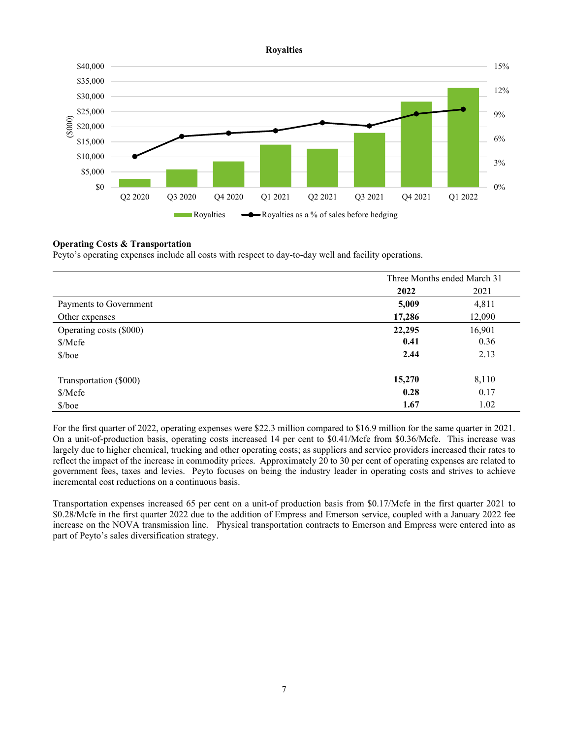#### **Royalties**



## **Operating Costs & Transportation**

Peyto's operating expenses include all costs with respect to day-to-day well and facility operations.

|                         | Three Months ended March 31 |        |
|-------------------------|-----------------------------|--------|
|                         | 2022                        | 2021   |
| Payments to Government  | 5,009                       | 4,811  |
| Other expenses          | 17,286                      | 12,090 |
| Operating costs (\$000) | 22,295                      | 16,901 |
| \$/Mcfe                 | 0.41                        | 0.36   |
| $$/$ boe                | 2.44                        | 2.13   |
| Transportation (\$000)  | 15,270                      | 8,110  |
| \$/Mcfe                 | 0.28                        | 0.17   |
| $$/$ boe                | 1.67                        | 1.02   |

For the first quarter of 2022, operating expenses were \$22.3 million compared to \$16.9 million for the same quarter in 2021. On a unit-of-production basis, operating costs increased 14 per cent to \$0.41/Mcfe from \$0.36/Mcfe. This increase was largely due to higher chemical, trucking and other operating costs; as suppliers and service providers increased their rates to reflect the impact of the increase in commodity prices. Approximately 20 to 30 per cent of operating expenses are related to government fees, taxes and levies. Peyto focuses on being the industry leader in operating costs and strives to achieve incremental cost reductions on a continuous basis.

Transportation expenses increased 65 per cent on a unit-of production basis from \$0.17/Mcfe in the first quarter 2021 to \$0.28/Mcfe in the first quarter 2022 due to the addition of Empress and Emerson service, coupled with a January 2022 fee increase on the NOVA transmission line. Physical transportation contracts to Emerson and Empress were entered into as part of Peyto's sales diversification strategy.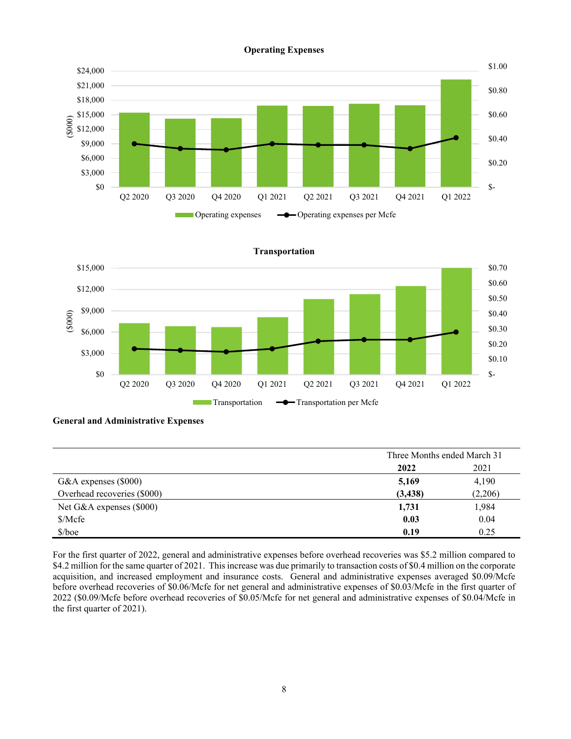#### **Operating Expenses**



 \$- \$0.10 \$0.20 \$0.30 \$0.40 \$0.50 \$0.60 \$0.70 \$0 \$3,000 \$6,000 \$9,000 \$12,000 \$15,000 Q2 2020 Q3 2020 Q4 2020 Q1 2021 Q2 2021 Q3 2021 Q4 2021 Q1 2022 (\$000) Transportation  $\longrightarrow$  Transportation per Mcfe

## **Transportation**

## **General and Administrative Expenses**

|                             | Three Months ended March 31 |         |
|-----------------------------|-----------------------------|---------|
|                             | 2022                        | 2021    |
| G&A expenses $(\$000)$      | 5,169                       | 4,190   |
| Overhead recoveries (\$000) | (3, 438)                    | (2,206) |
| Net G&A expenses (\$000)    | 1,731                       | 1,984   |
| \$/Mcfe                     | 0.03                        | 0.04    |
| \$/boe                      | 0.19                        | 0.25    |

For the first quarter of 2022, general and administrative expenses before overhead recoveries was \$5.2 million compared to \$4.2 million for the same quarter of 2021. This increase was due primarily to transaction costs of \$0.4 million on the corporate acquisition, and increased employment and insurance costs. General and administrative expenses averaged \$0.09/Mcfe before overhead recoveries of \$0.06/Mcfe for net general and administrative expenses of \$0.03/Mcfe in the first quarter of 2022 (\$0.09/Mcfe before overhead recoveries of \$0.05/Mcfe for net general and administrative expenses of \$0.04/Mcfe in the first quarter of 2021).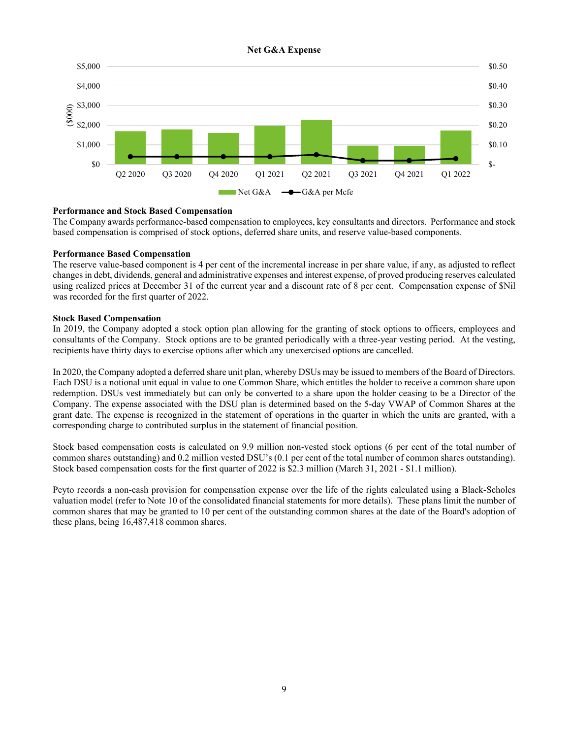

## **Performance and Stock Based Compensation**

The Company awards performance-based compensation to employees, key consultants and directors. Performance and stock based compensation is comprised of stock options, deferred share units, and reserve value-based components.

#### **Performance Based Compensation**

The reserve value-based component is 4 per cent of the incremental increase in per share value, if any, as adjusted to reflect changes in debt, dividends, general and administrative expenses and interest expense, of proved producing reserves calculated using realized prices at December 31 of the current year and a discount rate of 8 per cent. Compensation expense of \$Nil was recorded for the first quarter of 2022.

#### **Stock Based Compensation**

In 2019, the Company adopted a stock option plan allowing for the granting of stock options to officers, employees and consultants of the Company. Stock options are to be granted periodically with a three-year vesting period. At the vesting, recipients have thirty days to exercise options after which any unexercised options are cancelled.

In 2020, the Company adopted a deferred share unit plan, whereby DSUs may be issued to members of the Board of Directors. Each DSU is a notional unit equal in value to one Common Share, which entitles the holder to receive a common share upon redemption. DSUs vest immediately but can only be converted to a share upon the holder ceasing to be a Director of the Company. The expense associated with the DSU plan is determined based on the 5-day VWAP of Common Shares at the grant date. The expense is recognized in the statement of operations in the quarter in which the units are granted, with a corresponding charge to contributed surplus in the statement of financial position.

Stock based compensation costs is calculated on 9.9 million non-vested stock options (6 per cent of the total number of common shares outstanding) and 0.2 million vested DSU's (0.1 per cent of the total number of common shares outstanding). Stock based compensation costs for the first quarter of 2022 is \$2.3 million (March 31, 2021 - \$1.1 million).

Peyto records a non-cash provision for compensation expense over the life of the rights calculated using a Black-Scholes valuation model (refer to Note 10 of the consolidated financial statements for more details). These plans limit the number of common shares that may be granted to 10 per cent of the outstanding common shares at the date of the Board's adoption of these plans, being 16,487,418 common shares.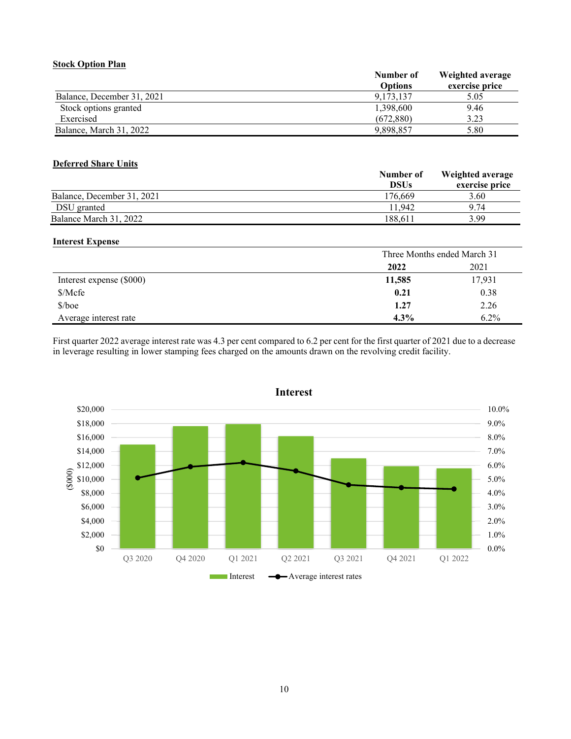## **Stock Option Plan**

|                            | Number of      | Weighted average |
|----------------------------|----------------|------------------|
|                            | <b>Options</b> | exercise price   |
| Balance, December 31, 2021 | 9.173.137      | 5.05             |
| Stock options granted      | 1,398,600      | 9.46             |
| Exercised                  | (672.880)      | 3.23             |
| Balance, March 31, 2022    | 9,898,857      | 5.80             |

## **Deferred Share Units**

|                            | Number of   | Weighted average |
|----------------------------|-------------|------------------|
|                            | <b>DSUs</b> | exercise price   |
| Balance, December 31, 2021 | 176.669     | 3.60             |
| DSU granted                | 11.942      | 9.74             |
| Balance March 31, 2022     | 188.611     | 3.99             |

## **Interest Expense**

|                          | Three Months ended March 31 |         |
|--------------------------|-----------------------------|---------|
|                          | 2022                        | 2021    |
| Interest expense (\$000) | 11,585                      | 17,931  |
| Mcfe                     | 0.21                        | 0.38    |
| $$/$ boe                 | 1.27                        | 2.26    |
| Average interest rate    | $4.3\%$                     | $6.2\%$ |

First quarter 2022 average interest rate was 4.3 per cent compared to 6.2 per cent for the first quarter of 2021 due to a decrease in leverage resulting in lower stamping fees charged on the amounts drawn on the revolving credit facility.



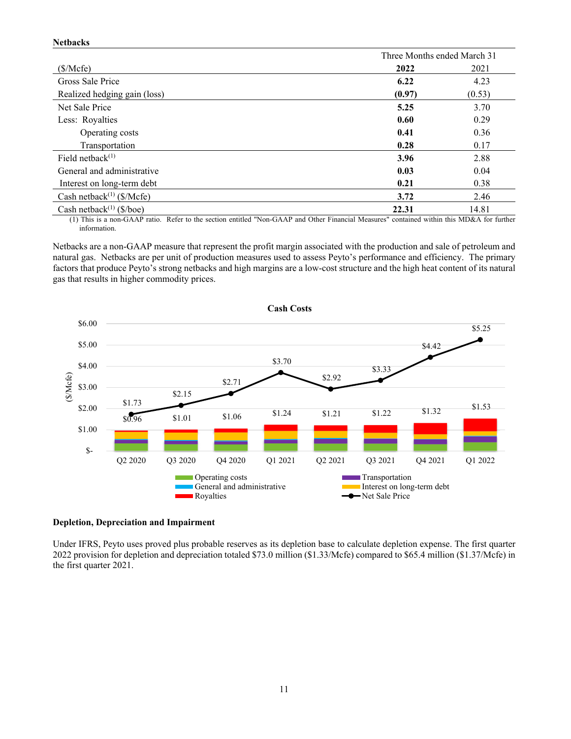#### **Netbacks**

|                                              |        | Three Months ended March 31 |
|----------------------------------------------|--------|-----------------------------|
| (\$/Mcfe)                                    | 2022   | 2021                        |
| Gross Sale Price                             | 6.22   | 4.23                        |
| Realized hedging gain (loss)                 | (0.97) | (0.53)                      |
| Net Sale Price                               | 5.25   | 3.70                        |
| Less: Royalties                              | 0.60   | 0.29                        |
| Operating costs                              | 0.41   | 0.36                        |
| Transportation                               | 0.28   | 0.17                        |
| Field netback $(1)$                          | 3.96   | 2.88                        |
| General and administrative                   | 0.03   | 0.04                        |
| Interest on long-term debt                   | 0.21   | 0.38                        |
| Cash netback <sup>(1)</sup> ( $\gamma$ Mcfe) | 3.72   | 2.46                        |
| Cash netback <sup>(1)</sup> (\$/boe)         | 22.31  | 14.81                       |

(1) This is a non-GAAP ratio. Refer to the section entitled "Non-GAAP and Other Financial Measures" contained within this MD&A for further information.

Netbacks are a non-GAAP measure that represent the profit margin associated with the production and sale of petroleum and natural gas. Netbacks are per unit of production measures used to assess Peyto's performance and efficiency. The primary factors that produce Peyto's strong netbacks and high margins are a low-cost structure and the high heat content of its natural gas that results in higher commodity prices.



#### **Depletion, Depreciation and Impairment**

Under IFRS, Peyto uses proved plus probable reserves as its depletion base to calculate depletion expense. The first quarter 2022 provision for depletion and depreciation totaled \$73.0 million (\$1.33/Mcfe) compared to \$65.4 million (\$1.37/Mcfe) in the first quarter 2021.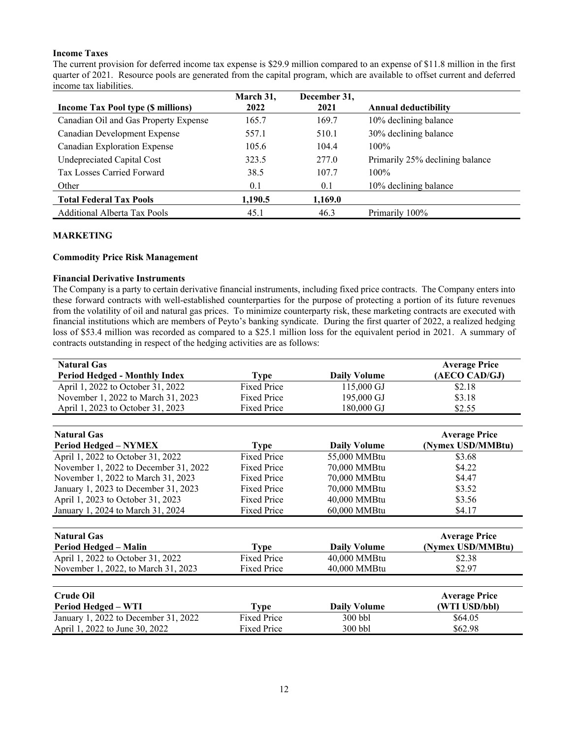## **Income Taxes**

The current provision for deferred income tax expense is \$29.9 million compared to an expense of \$11.8 million in the first quarter of 2021. Resource pools are generated from the capital program, which are available to offset current and deferred income tax liabilities.

|                                           | March 31, | December 31, |                                 |
|-------------------------------------------|-----------|--------------|---------------------------------|
| <b>Income Tax Pool type (\$ millions)</b> | 2022      | 2021         | <b>Annual deductibility</b>     |
| Canadian Oil and Gas Property Expense     | 165.7     | 169.7        | 10% declining balance           |
| Canadian Development Expense              | 557.1     | 510.1        | 30% declining balance           |
| Canadian Exploration Expense              | 105.6     | 104.4        | $100\%$                         |
| Undepreciated Capital Cost                | 323.5     | 277.0        | Primarily 25% declining balance |
| Tax Losses Carried Forward                | 38.5      | 107.7        | $100\%$                         |
| Other                                     | 0.1       | 0.1          | 10% declining balance           |
| <b>Total Federal Tax Pools</b>            | 1,190.5   | 1,169.0      |                                 |
| <b>Additional Alberta Tax Pools</b>       | 45.1      | 46.3         | Primarily 100%                  |

## **MARKETING**

#### **Commodity Price Risk Management**

#### **Financial Derivative Instruments**

The Company is a party to certain derivative financial instruments, including fixed price contracts. The Company enters into these forward contracts with well-established counterparties for the purpose of protecting a portion of its future revenues from the volatility of oil and natural gas prices. To minimize counterparty risk, these marketing contracts are executed with financial institutions which are members of Peyto's banking syndicate. During the first quarter of 2022, a realized hedging loss of \$53.4 million was recorded as compared to a \$25.1 million loss for the equivalent period in 2021. A summary of contracts outstanding in respect of the hedging activities are as follows:

| <b>Natural Gas</b>                    |                    |                     | <b>Average Price</b> |
|---------------------------------------|--------------------|---------------------|----------------------|
| <b>Period Hedged - Monthly Index</b>  | <b>Type</b>        | <b>Daily Volume</b> | (AECO CAD/GJ)        |
| April 1, 2022 to October 31, 2022     | <b>Fixed Price</b> | 115,000 GJ          | \$2.18               |
| November 1, 2022 to March 31, 2023    | <b>Fixed Price</b> | 195,000 GJ          | \$3.18               |
| April 1, 2023 to October 31, 2023     | Fixed Price        | 180,000 GJ          | \$2.55               |
|                                       |                    |                     |                      |
| <b>Natural Gas</b>                    |                    |                     | <b>Average Price</b> |
| <b>Period Hedged - NYMEX</b>          | <b>Type</b>        | <b>Daily Volume</b> | (Nymex USD/MMBtu)    |
| April 1, 2022 to October 31, 2022     | <b>Fixed Price</b> | 55,000 MMBtu        | \$3.68               |
| November 1, 2022 to December 31, 2022 | <b>Fixed Price</b> | 70,000 MMBtu        | \$4.22               |
| November 1, 2022 to March 31, 2023    | <b>Fixed Price</b> | 70,000 MMBtu        | \$4.47               |
| January 1, 2023 to December 31, 2023  | Fixed Price        | 70,000 MMBtu        | \$3.52               |
| April 1, 2023 to October 31, 2023     | <b>Fixed Price</b> | 40,000 MMBtu        | \$3.56               |
| January 1, 2024 to March 31, 2024     | Fixed Price        | 60,000 MMBtu        | \$4.17               |
|                                       |                    |                     |                      |
| <b>Natural Gas</b>                    |                    |                     | <b>Average Price</b> |
| Period Hedged - Malin                 | <b>Type</b>        | <b>Daily Volume</b> | (Nymex USD/MMBtu)    |
| April 1, 2022 to October 31, 2022     | <b>Fixed Price</b> | 40,000 MMBtu        | \$2.38               |
| November 1, 2022, to March 31, 2023   | <b>Fixed Price</b> | 40,000 MMBtu        | \$2.97               |
|                                       |                    |                     |                      |
| <b>Crude Oil</b>                      |                    |                     | <b>Average Price</b> |
| Period Hedged - WTI                   | Type               | <b>Daily Volume</b> | WTI USD/bbl)         |
| January 1, 2022 to December 31, 2022  | Fixed Price        | 300 bbl             | \$64.05              |
| April 1, 2022 to June 30, 2022        | <b>Fixed Price</b> | 300 bbl             | \$62.98              |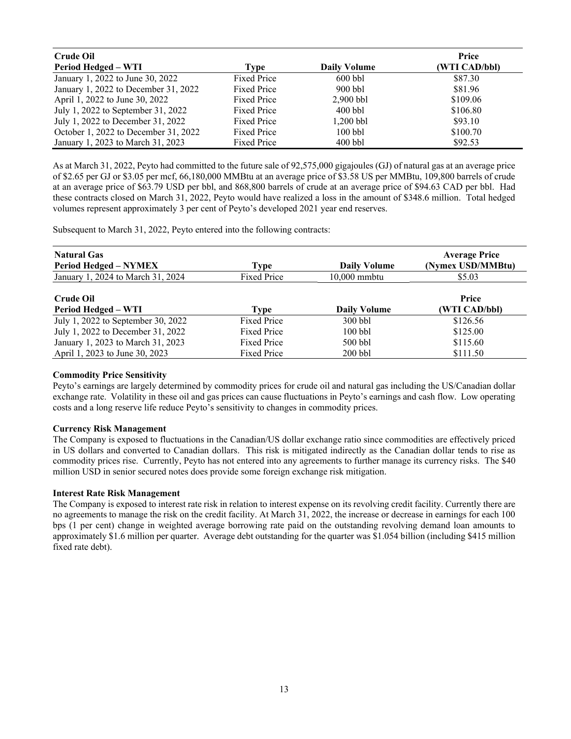| <b>Crude Oil</b>                     |                    |                     | Price         |
|--------------------------------------|--------------------|---------------------|---------------|
| <b>Period Hedged - WTI</b>           | Type               | <b>Daily Volume</b> | (WTI CAD/bbl) |
| January 1, 2022 to June 30, 2022     | <b>Fixed Price</b> | $600$ bbl           | \$87.30       |
| January 1, 2022 to December 31, 2022 | Fixed Price        | $900$ bbl           | \$81.96       |
| April 1, 2022 to June 30, 2022       | Fixed Price        | $2.900$ bbl         | \$109.06      |
| July 1, 2022 to September 31, 2022   | Fixed Price        | $400$ bbl           | \$106.80      |
| July 1, 2022 to December 31, 2022    | Fixed Price        | $1.200$ bbl         | \$93.10       |
| October 1, 2022 to December 31, 2022 | Fixed Price        | $100$ bbl           | \$100.70      |
| January 1, 2023 to March 31, 2023    | <b>Fixed Price</b> | $400$ bbl           | \$92.53       |

As at March 31, 2022, Peyto had committed to the future sale of 92,575,000 gigajoules (GJ) of natural gas at an average price of \$2.65 per GJ or \$3.05 per mcf, 66,180,000 MMBtu at an average price of \$3.58 US per MMBtu, 109,800 barrels of crude at an average price of \$63.79 USD per bbl, and 868,800 barrels of crude at an average price of \$94.63 CAD per bbl. Had these contracts closed on March 31, 2022, Peyto would have realized a loss in the amount of \$348.6 million. Total hedged volumes represent approximately 3 per cent of Peyto's developed 2021 year end reserves.

Subsequent to March 31, 2022, Peyto entered into the following contracts:

| <b>Natural Gas</b><br><b>Period Hedged – NYMEX</b> | Type               | <b>Daily Volume</b> | <b>Average Price</b><br>(Nymex USD/MMBtu) |
|----------------------------------------------------|--------------------|---------------------|-------------------------------------------|
| January 1, 2024 to March 31, 2024                  | Fixed Price        | $10.000$ mmbtu      | \$5.03                                    |
| Crude Oil<br><b>Period Hedged – WTI</b>            | Type               | <b>Daily Volume</b> | <b>Price</b><br>(WTI CAD/bbl)             |
| July 1, 2022 to September 30, 2022                 | <b>Fixed Price</b> | $300$ bbl           | \$126.56                                  |
| July 1, 2022 to December 31, 2022                  | <b>Fixed Price</b> | $100$ bbl           | \$125.00                                  |
| January 1, 2023 to March 31, 2023                  | <b>Fixed Price</b> | $500$ bbl           | \$115.60                                  |
| April 1, 2023 to June 30, 2023                     | <b>Fixed Price</b> | $200$ bbl           | \$111.50                                  |

## **Commodity Price Sensitivity**

Peyto's earnings are largely determined by commodity prices for crude oil and natural gas including the US/Canadian dollar exchange rate. Volatility in these oil and gas prices can cause fluctuations in Peyto's earnings and cash flow. Low operating costs and a long reserve life reduce Peyto's sensitivity to changes in commodity prices.

#### **Currency Risk Management**

The Company is exposed to fluctuations in the Canadian/US dollar exchange ratio since commodities are effectively priced in US dollars and converted to Canadian dollars. This risk is mitigated indirectly as the Canadian dollar tends to rise as commodity prices rise. Currently, Peyto has not entered into any agreements to further manage its currency risks. The \$40 million USD in senior secured notes does provide some foreign exchange risk mitigation.

#### **Interest Rate Risk Management**

The Company is exposed to interest rate risk in relation to interest expense on its revolving credit facility. Currently there are no agreements to manage the risk on the credit facility. At March 31, 2022, the increase or decrease in earnings for each 100 bps (1 per cent) change in weighted average borrowing rate paid on the outstanding revolving demand loan amounts to approximately \$1.6 million per quarter. Average debt outstanding for the quarter was \$1.054 billion (including \$415 million fixed rate debt).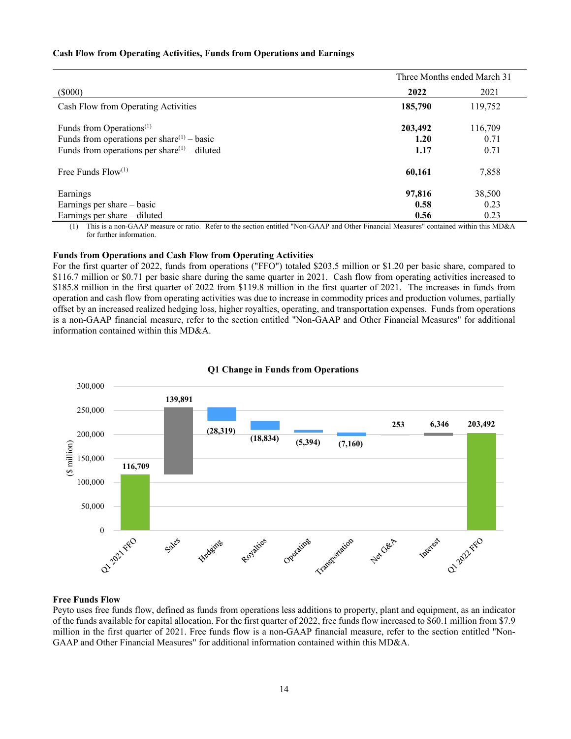#### **Cash Flow from Operating Activities, Funds from Operations and Earnings**

|                                                        | Three Months ended March 31 |         |  |
|--------------------------------------------------------|-----------------------------|---------|--|
| $(\$000)$                                              | 2022                        | 2021    |  |
| Cash Flow from Operating Activities                    | 185,790                     | 119,752 |  |
| Funds from Operations <sup><math>(1)</math></sup>      | 203,492                     | 116,709 |  |
| Funds from operations per share <sup>(1)</sup> – basic | 1.20                        | 0.71    |  |
| Funds from operations per share $(1)$ – diluted        | 1.17                        | 0.71    |  |
| Free Funds $Flow^{(1)}$                                | 60,161                      | 7,858   |  |
| Earnings                                               | 97,816                      | 38,500  |  |
| Earnings per share – basic                             | 0.58                        | 0.23    |  |
| Earnings per share – diluted                           | 0.56                        | 0.23    |  |

(1) This is a non-GAAP measure or ratio. Refer to the section entitled "Non-GAAP and Other Financial Measures" contained within this MD&A for further information.

#### **Funds from Operations and Cash Flow from Operating Activities**

For the first quarter of 2022, funds from operations ("FFO") totaled \$203.5 million or \$1.20 per basic share, compared to \$116.7 million or \$0.71 per basic share during the same quarter in 2021. Cash flow from operating activities increased to \$185.8 million in the first quarter of 2022 from \$119.8 million in the first quarter of 2021. The increases in funds from operation and cash flow from operating activities was due to increase in commodity prices and production volumes, partially offset by an increased realized hedging loss, higher royalties, operating, and transportation expenses. Funds from operations is a non-GAAP financial measure, refer to the section entitled "Non-GAAP and Other Financial Measures" for additional information contained within this MD&A.



#### **Q1 Change in Funds from Operations**

#### **Free Funds Flow**

Peyto uses free funds flow, defined as funds from operations less additions to property, plant and equipment, as an indicator of the funds available for capital allocation. For the first quarter of 2022, free funds flow increased to \$60.1 million from \$7.9 million in the first quarter of 2021. Free funds flow is a non-GAAP financial measure, refer to the section entitled "Non-GAAP and Other Financial Measures" for additional information contained within this MD&A.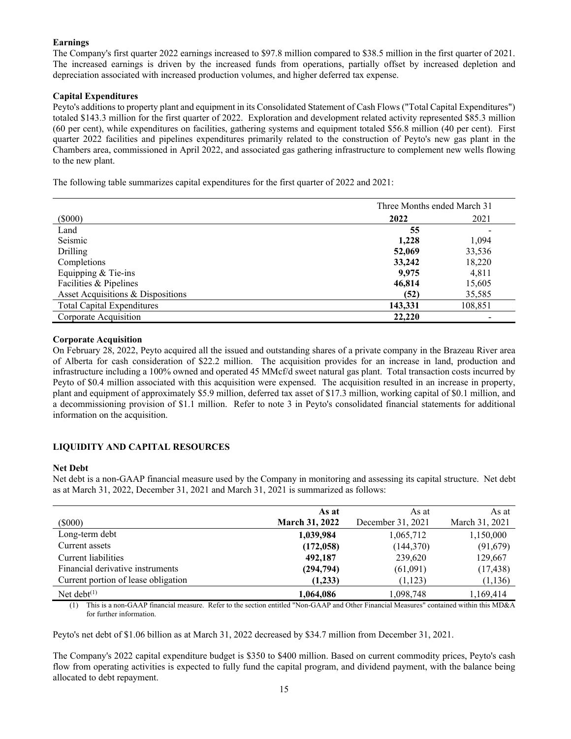## **Earnings**

The Company's first quarter 2022 earnings increased to \$97.8 million compared to \$38.5 million in the first quarter of 2021. The increased earnings is driven by the increased funds from operations, partially offset by increased depletion and depreciation associated with increased production volumes, and higher deferred tax expense.

## **Capital Expenditures**

Peyto's additions to property plant and equipment in its Consolidated Statement of Cash Flows ("Total Capital Expenditures") totaled \$143.3 million for the first quarter of 2022. Exploration and development related activity represented \$85.3 million (60 per cent), while expenditures on facilities, gathering systems and equipment totaled \$56.8 million (40 per cent). First quarter 2022 facilities and pipelines expenditures primarily related to the construction of Peyto's new gas plant in the Chambers area, commissioned in April 2022, and associated gas gathering infrastructure to complement new wells flowing to the new plant.

The following table summarizes capital expenditures for the first quarter of 2022 and 2021:

|                                   | Three Months ended March 31 |         |
|-----------------------------------|-----------------------------|---------|
| $($ \$000 $)$                     | 2022<br>2021                |         |
| Land                              | 55                          |         |
| Seismic                           | 1,228                       | 1,094   |
| Drilling                          | 52,069                      | 33,536  |
| Completions                       | 33,242                      | 18,220  |
| Equipping & Tie-ins               | 9,975                       | 4,811   |
| Facilities & Pipelines            | 46,814                      | 15,605  |
| Asset Acquisitions & Dispositions | (52)                        | 35,585  |
| <b>Total Capital Expenditures</b> | 143,331                     | 108,851 |
| Corporate Acquisition             | 22,220                      | -       |

## **Corporate Acquisition**

On February 28, 2022, Peyto acquired all the issued and outstanding shares of a private company in the Brazeau River area of Alberta for cash consideration of \$22.2 million. The acquisition provides for an increase in land, production and infrastructure including a 100% owned and operated 45 MMcf/d sweet natural gas plant. Total transaction costs incurred by Peyto of \$0.4 million associated with this acquisition were expensed. The acquisition resulted in an increase in property, plant and equipment of approximately \$5.9 million, deferred tax asset of \$17.3 million, working capital of \$0.1 million, and a decommissioning provision of \$1.1 million. Refer to note 3 in Peyto's consolidated financial statements for additional information on the acquisition.

## **LIQUIDITY AND CAPITAL RESOURCES**

#### **Net Debt**

Net debt is a non-GAAP financial measure used by the Company in monitoring and assessing its capital structure. Net debt as at March 31, 2022, December 31, 2021 and March 31, 2021 is summarized as follows:

|                                     | As at                 | As at             | As at          |
|-------------------------------------|-----------------------|-------------------|----------------|
| $($ \$000 $)$                       | <b>March 31, 2022</b> | December 31, 2021 | March 31, 2021 |
| Long-term debt                      | 1,039,984             | 1,065,712         | 1,150,000      |
| Current assets                      | (172, 058)            | (144, 370)        | (91,679)       |
| Current liabilities                 | 492,187               | 239,620           | 129,667        |
| Financial derivative instruments    | (294, 794)            | (61,091)          | (17, 438)      |
| Current portion of lease obligation | (1,233)               | (1,123)           | (1, 136)       |
| Net debt $(1)$                      | 1,064,086             | 1,098,748         | 1,169,414      |

(1) This is a non-GAAP financial measure. Refer to the section entitled "Non-GAAP and Other Financial Measures" contained within this MD&A for further information.

Peyto's net debt of \$1.06 billion as at March 31, 2022 decreased by \$34.7 million from December 31, 2021.

The Company's 2022 capital expenditure budget is \$350 to \$400 million. Based on current commodity prices, Peyto's cash flow from operating activities is expected to fully fund the capital program, and dividend payment, with the balance being allocated to debt repayment.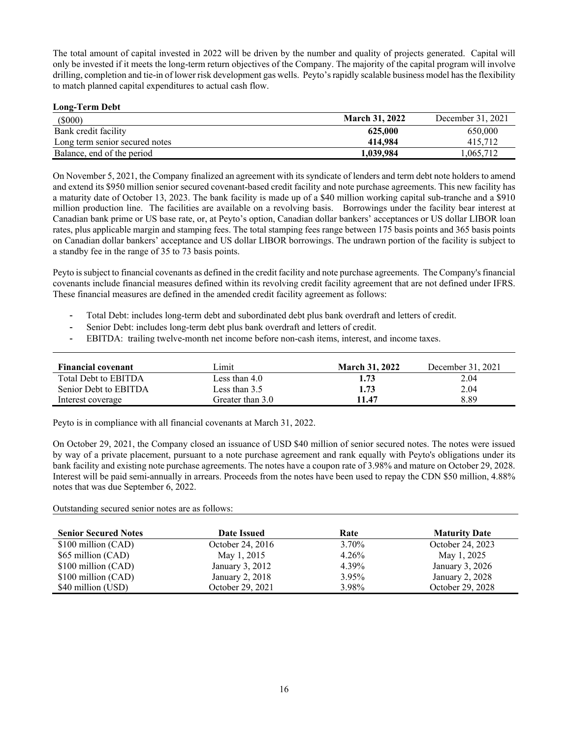The total amount of capital invested in 2022 will be driven by the number and quality of projects generated. Capital will only be invested if it meets the long-term return objectives of the Company. The majority of the capital program will involve drilling, completion and tie-in of lower risk development gas wells. Peyto's rapidly scalable business model has the flexibility to match planned capital expenditures to actual cash flow.

## **Long-Term Debt**

| $(\$000)$                      | <b>March 31, 2022</b> | December 31, 2021 |
|--------------------------------|-----------------------|-------------------|
| Bank credit facility           | 625,000               | 650,000           |
| Long term senior secured notes | 414.984               | 415.712           |
| Balance, end of the period     | 1.039.984             | .065.712          |

On November 5, 2021, the Company finalized an agreement with its syndicate of lenders and term debt note holders to amend and extend its \$950 million senior secured covenant-based credit facility and note purchase agreements. This new facility has a maturity date of October 13, 2023. The bank facility is made up of a \$40 million working capital sub-tranche and a \$910 million production line. The facilities are available on a revolving basis. Borrowings under the facility bear interest at Canadian bank prime or US base rate, or, at Peyto's option, Canadian dollar bankers' acceptances or US dollar LIBOR loan rates, plus applicable margin and stamping fees. The total stamping fees range between 175 basis points and 365 basis points on Canadian dollar bankers' acceptance and US dollar LIBOR borrowings. The undrawn portion of the facility is subject to a standby fee in the range of 35 to 73 basis points.

Peyto is subject to financial covenants as defined in the credit facility and note purchase agreements. The Company's financial covenants include financial measures defined within its revolving credit facility agreement that are not defined under IFRS. These financial measures are defined in the amended credit facility agreement as follows:

- Total Debt: includes long-term debt and subordinated debt plus bank overdraft and letters of credit.
- Senior Debt: includes long-term debt plus bank overdraft and letters of credit.
- EBITDA: trailing twelve-month net income before non-cash items, interest, and income taxes.

| <b>Financial covenant</b> | Limit            | <b>March 31, 2022</b> | December 31, 2021 |
|---------------------------|------------------|-----------------------|-------------------|
| Total Debt to EBITDA      | Less than $4.0$  | 1.73                  | 2.04              |
| Senior Debt to EBITDA     | Less than $3.5$  | 1.73                  | 2.04              |
| Interest coverage         | Greater than 3.0 | 11.47                 | 8.89              |

Peyto is in compliance with all financial covenants at March 31, 2022.

On October 29, 2021, the Company closed an issuance of USD \$40 million of senior secured notes. The notes were issued by way of a private placement, pursuant to a note purchase agreement and rank equally with Peyto's obligations under its bank facility and existing note purchase agreements. The notes have a coupon rate of 3.98% and mature on October 29, 2028. Interest will be paid semi-annually in arrears. Proceeds from the notes have been used to repay the CDN \$50 million, 4.88% notes that was due September 6, 2022.

Outstanding secured senior notes are as follows:

| <b>Senior Secured Notes</b> | Date Issued      | Rate  | <b>Maturity Date</b> |
|-----------------------------|------------------|-------|----------------------|
| \$100 million (CAD)         | October 24, 2016 | 3.70% | October 24, 2023     |
| \$65 million (CAD)          | May 1, 2015      | 4.26% | May 1, 2025          |
| \$100 million (CAD)         | January 3, 2012  | 4.39% | January 3, 2026      |
| \$100 million (CAD)         | January 2, 2018  | 3.95% | January 2, 2028      |
| \$40 million (USD)          | October 29, 2021 | 3.98% | October 29, 2028     |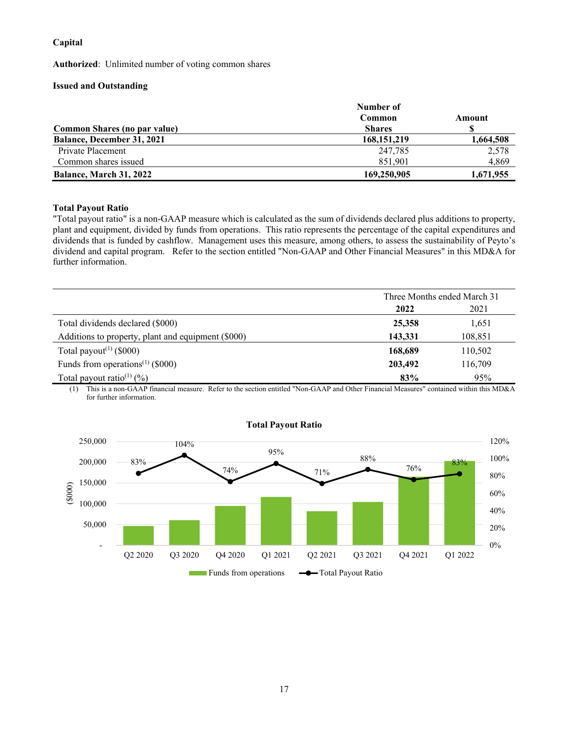## **Capital**

**Authorized**: Unlimited number of voting common shares

## **Issued and Outstanding**

|                                   | Number of     |           |  |
|-----------------------------------|---------------|-----------|--|
|                                   | Common        | Amount    |  |
| Common Shares (no par value)      | <b>Shares</b> |           |  |
| <b>Balance, December 31, 2021</b> | 168, 151, 219 | 1,664,508 |  |
| Private Placement                 | 247.785       | 2,578     |  |
| Common shares issued              | 851.901       | 4,869     |  |
| <b>Balance, March 31, 2022</b>    | 169,250,905   | 1,671,955 |  |

## **Total Payout Ratio**

"Total payout ratio" is a non-GAAP measure which is calculated as the sum of dividends declared plus additions to property, plant and equipment, divided by funds from operations. This ratio represents the percentage of the capital expenditures and dividends that is funded by cashflow. Management uses this measure, among others, to assess the sustainability of Peyto's dividend and capital program. Refer to the section entitled "Non-GAAP and Other Financial Measures" in this MD&A for further information.

|                                                    | Three Months ended March 31 |         |
|----------------------------------------------------|-----------------------------|---------|
|                                                    | 2022                        | 2021    |
| Total dividends declared (\$000)                   | 25,358                      | 1,651   |
| Additions to property, plant and equipment (\$000) | 143,331                     | 108,851 |
| Total payout <sup><math>(1)</math></sup> (\$000)   | 168,689                     | 110,502 |
| Funds from operations <sup>(1)</sup> (\$000)       | 203,492                     | 116,709 |
| Total payout ratio <sup>(1)</sup> $(\%)$           | 83%                         | 95%     |

(1) This is a non-GAAP financial measure. Refer to the section entitled "Non-GAAP and Other Financial Measures" contained within this MD&A for further information.



## **Total Payout Ratio**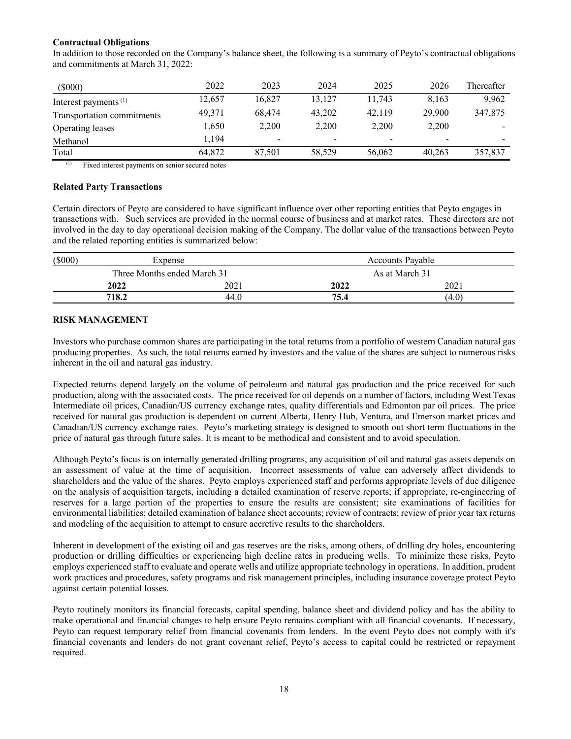## **Contractual Obligations**

In addition to those recorded on the Company's balance sheet, the following is a summary of Peyto's contractual obligations and commitments at March 31, 2022:

| $(\$000)$                        | 2022   | 2023   | 2024                     | 2025   | 2026                     | Thereafter |
|----------------------------------|--------|--------|--------------------------|--------|--------------------------|------------|
| Interest payments <sup>(1)</sup> | 12.657 | 16.827 | 13.127                   | 11.743 | 8.163                    | 9.962      |
| Transportation commitments       | 49.371 | 68.474 | 43,202                   | 42,119 | 29,900                   | 347,875    |
| Operating leases                 | 1,650  | 2.200  | 2.200                    | 2.200  | 2,200                    |            |
| Methanol                         | 1.194  | -      | $\overline{\phantom{a}}$ | -      | $\overline{\phantom{a}}$ |            |
| Total                            | 64,872 | 87.501 | 58,529                   | 56,062 | 40.263                   | 357,837    |

(1) Fixed interest payments on senior secured notes

#### **Related Party Transactions**

Certain directors of Peyto are considered to have significant influence over other reporting entities that Peyto engages in transactions with. Such services are provided in the normal course of business and at market rates. These directors are not involved in the day to day operational decision making of the Company. The dollar value of the transactions between Peyto and the related reporting entities is summarized below:

| $($ \$000) | Expense                     |      | <b>Accounts Payable</b> |                |  |
|------------|-----------------------------|------|-------------------------|----------------|--|
|            | Three Months ended March 31 |      |                         | As at March 31 |  |
|            | 2022                        | 2021 | 2022                    | 2021           |  |
|            | 718.2                       | 44.0 | 75.4                    | (4.0)          |  |

## **RISK MANAGEMENT**

Investors who purchase common shares are participating in the total returns from a portfolio of western Canadian natural gas producing properties. As such, the total returns earned by investors and the value of the shares are subject to numerous risks inherent in the oil and natural gas industry.

Expected returns depend largely on the volume of petroleum and natural gas production and the price received for such production, along with the associated costs. The price received for oil depends on a number of factors, including West Texas Intermediate oil prices, Canadian/US currency exchange rates, quality differentials and Edmonton par oil prices. The price received for natural gas production is dependent on current Alberta, Henry Hub, Ventura, and Emerson market prices and Canadian/US currency exchange rates. Peyto's marketing strategy is designed to smooth out short term fluctuations in the price of natural gas through future sales. It is meant to be methodical and consistent and to avoid speculation.

Although Peyto's focus is on internally generated drilling programs, any acquisition of oil and natural gas assets depends on an assessment of value at the time of acquisition. Incorrect assessments of value can adversely affect dividends to shareholders and the value of the shares. Peyto employs experienced staff and performs appropriate levels of due diligence on the analysis of acquisition targets, including a detailed examination of reserve reports; if appropriate, re-engineering of reserves for a large portion of the properties to ensure the results are consistent; site examinations of facilities for environmental liabilities; detailed examination of balance sheet accounts; review of contracts; review of prior year tax returns and modeling of the acquisition to attempt to ensure accretive results to the shareholders.

Inherent in development of the existing oil and gas reserves are the risks, among others, of drilling dry holes, encountering production or drilling difficulties or experiencing high decline rates in producing wells. To minimize these risks, Peyto employs experienced staff to evaluate and operate wells and utilize appropriate technology in operations. In addition, prudent work practices and procedures, safety programs and risk management principles, including insurance coverage protect Peyto against certain potential losses.

Peyto routinely monitors its financial forecasts, capital spending, balance sheet and dividend policy and has the ability to make operational and financial changes to help ensure Peyto remains compliant with all financial covenants. If necessary, Peyto can request temporary relief from financial covenants from lenders. In the event Peyto does not comply with it's financial covenants and lenders do not grant covenant relief, Peyto's access to capital could be restricted or repayment required.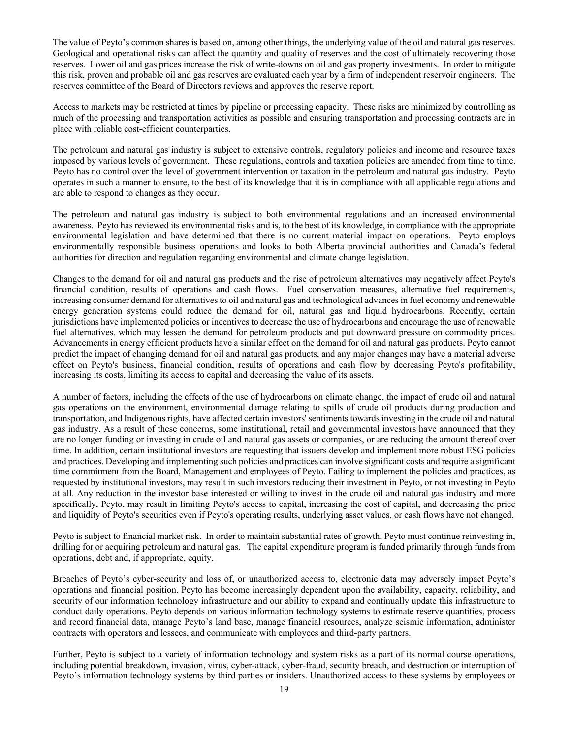The value of Peyto's common shares is based on, among other things, the underlying value of the oil and natural gas reserves. Geological and operational risks can affect the quantity and quality of reserves and the cost of ultimately recovering those reserves. Lower oil and gas prices increase the risk of write-downs on oil and gas property investments. In order to mitigate this risk, proven and probable oil and gas reserves are evaluated each year by a firm of independent reservoir engineers. The reserves committee of the Board of Directors reviews and approves the reserve report.

Access to markets may be restricted at times by pipeline or processing capacity. These risks are minimized by controlling as much of the processing and transportation activities as possible and ensuring transportation and processing contracts are in place with reliable cost-efficient counterparties.

The petroleum and natural gas industry is subject to extensive controls, regulatory policies and income and resource taxes imposed by various levels of government. These regulations, controls and taxation policies are amended from time to time. Peyto has no control over the level of government intervention or taxation in the petroleum and natural gas industry. Peyto operates in such a manner to ensure, to the best of its knowledge that it is in compliance with all applicable regulations and are able to respond to changes as they occur.

The petroleum and natural gas industry is subject to both environmental regulations and an increased environmental awareness. Peyto has reviewed its environmental risks and is, to the best of its knowledge, in compliance with the appropriate environmental legislation and have determined that there is no current material impact on operations. Peyto employs environmentally responsible business operations and looks to both Alberta provincial authorities and Canada's federal authorities for direction and regulation regarding environmental and climate change legislation.

Changes to the demand for oil and natural gas products and the rise of petroleum alternatives may negatively affect Peyto's financial condition, results of operations and cash flows. Fuel conservation measures, alternative fuel requirements, increasing consumer demand for alternatives to oil and natural gas and technological advances in fuel economy and renewable energy generation systems could reduce the demand for oil, natural gas and liquid hydrocarbons. Recently, certain jurisdictions have implemented policies or incentives to decrease the use of hydrocarbons and encourage the use of renewable fuel alternatives, which may lessen the demand for petroleum products and put downward pressure on commodity prices. Advancements in energy efficient products have a similar effect on the demand for oil and natural gas products. Peyto cannot predict the impact of changing demand for oil and natural gas products, and any major changes may have a material adverse effect on Peyto's business, financial condition, results of operations and cash flow by decreasing Peyto's profitability, increasing its costs, limiting its access to capital and decreasing the value of its assets.

A number of factors, including the effects of the use of hydrocarbons on climate change, the impact of crude oil and natural gas operations on the environment, environmental damage relating to spills of crude oil products during production and transportation, and Indigenous rights, have affected certain investors' sentiments towards investing in the crude oil and natural gas industry. As a result of these concerns, some institutional, retail and governmental investors have announced that they are no longer funding or investing in crude oil and natural gas assets or companies, or are reducing the amount thereof over time. In addition, certain institutional investors are requesting that issuers develop and implement more robust ESG policies and practices. Developing and implementing such policies and practices can involve significant costs and require a significant time commitment from the Board, Management and employees of Peyto. Failing to implement the policies and practices, as requested by institutional investors, may result in such investors reducing their investment in Peyto, or not investing in Peyto at all. Any reduction in the investor base interested or willing to invest in the crude oil and natural gas industry and more specifically, Peyto, may result in limiting Peyto's access to capital, increasing the cost of capital, and decreasing the price and liquidity of Peyto's securities even if Peyto's operating results, underlying asset values, or cash flows have not changed.

Peyto is subject to financial market risk. In order to maintain substantial rates of growth, Peyto must continue reinvesting in, drilling for or acquiring petroleum and natural gas. The capital expenditure program is funded primarily through funds from operations, debt and, if appropriate, equity.

Breaches of Peyto's cyber-security and loss of, or unauthorized access to, electronic data may adversely impact Peyto's operations and financial position. Peyto has become increasingly dependent upon the availability, capacity, reliability, and security of our information technology infrastructure and our ability to expand and continually update this infrastructure to conduct daily operations. Peyto depends on various information technology systems to estimate reserve quantities, process and record financial data, manage Peyto's land base, manage financial resources, analyze seismic information, administer contracts with operators and lessees, and communicate with employees and third-party partners.

Further, Peyto is subject to a variety of information technology and system risks as a part of its normal course operations, including potential breakdown, invasion, virus, cyber-attack, cyber-fraud, security breach, and destruction or interruption of Peyto's information technology systems by third parties or insiders. Unauthorized access to these systems by employees or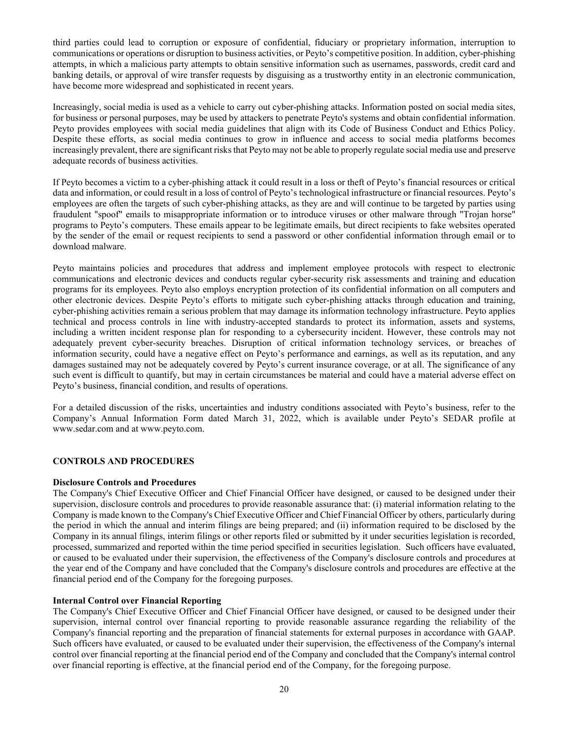third parties could lead to corruption or exposure of confidential, fiduciary or proprietary information, interruption to communications or operations or disruption to business activities, or Peyto's competitive position. In addition, cyber-phishing attempts, in which a malicious party attempts to obtain sensitive information such as usernames, passwords, credit card and banking details, or approval of wire transfer requests by disguising as a trustworthy entity in an electronic communication, have become more widespread and sophisticated in recent years.

Increasingly, social media is used as a vehicle to carry out cyber-phishing attacks. Information posted on social media sites, for business or personal purposes, may be used by attackers to penetrate Peyto's systems and obtain confidential information. Peyto provides employees with social media guidelines that align with its Code of Business Conduct and Ethics Policy. Despite these efforts, as social media continues to grow in influence and access to social media platforms becomes increasingly prevalent, there are significant risks that Peyto may not be able to properly regulate social media use and preserve adequate records of business activities.

If Peyto becomes a victim to a cyber-phishing attack it could result in a loss or theft of Peyto's financial resources or critical data and information, or could result in a loss of control of Peyto's technological infrastructure or financial resources. Peyto's employees are often the targets of such cyber-phishing attacks, as they are and will continue to be targeted by parties using fraudulent "spoof" emails to misappropriate information or to introduce viruses or other malware through "Trojan horse" programs to Peyto's computers. These emails appear to be legitimate emails, but direct recipients to fake websites operated by the sender of the email or request recipients to send a password or other confidential information through email or to download malware.

Peyto maintains policies and procedures that address and implement employee protocols with respect to electronic communications and electronic devices and conducts regular cyber-security risk assessments and training and education programs for its employees. Peyto also employs encryption protection of its confidential information on all computers and other electronic devices. Despite Peyto's efforts to mitigate such cyber-phishing attacks through education and training, cyber-phishing activities remain a serious problem that may damage its information technology infrastructure. Peyto applies technical and process controls in line with industry-accepted standards to protect its information, assets and systems, including a written incident response plan for responding to a cybersecurity incident. However, these controls may not adequately prevent cyber-security breaches. Disruption of critical information technology services, or breaches of information security, could have a negative effect on Peyto's performance and earnings, as well as its reputation, and any damages sustained may not be adequately covered by Peyto's current insurance coverage, or at all. The significance of any such event is difficult to quantify, but may in certain circumstances be material and could have a material adverse effect on Peyto's business, financial condition, and results of operations.

For a detailed discussion of the risks, uncertainties and industry conditions associated with Peyto's business, refer to the Company's Annual Information Form dated March 31, 2022, which is available under Peyto's SEDAR profile at www.sedar.com and at www.peyto.com.

## **CONTROLS AND PROCEDURES**

#### **Disclosure Controls and Procedures**

The Company's Chief Executive Officer and Chief Financial Officer have designed, or caused to be designed under their supervision, disclosure controls and procedures to provide reasonable assurance that: (i) material information relating to the Company is made known to the Company's Chief Executive Officer and Chief Financial Officer by others, particularly during the period in which the annual and interim filings are being prepared; and (ii) information required to be disclosed by the Company in its annual filings, interim filings or other reports filed or submitted by it under securities legislation is recorded, processed, summarized and reported within the time period specified in securities legislation. Such officers have evaluated, or caused to be evaluated under their supervision, the effectiveness of the Company's disclosure controls and procedures at the year end of the Company and have concluded that the Company's disclosure controls and procedures are effective at the financial period end of the Company for the foregoing purposes.

#### **Internal Control over Financial Reporting**

The Company's Chief Executive Officer and Chief Financial Officer have designed, or caused to be designed under their supervision, internal control over financial reporting to provide reasonable assurance regarding the reliability of the Company's financial reporting and the preparation of financial statements for external purposes in accordance with GAAP. Such officers have evaluated, or caused to be evaluated under their supervision, the effectiveness of the Company's internal control over financial reporting at the financial period end of the Company and concluded that the Company's internal control over financial reporting is effective, at the financial period end of the Company, for the foregoing purpose.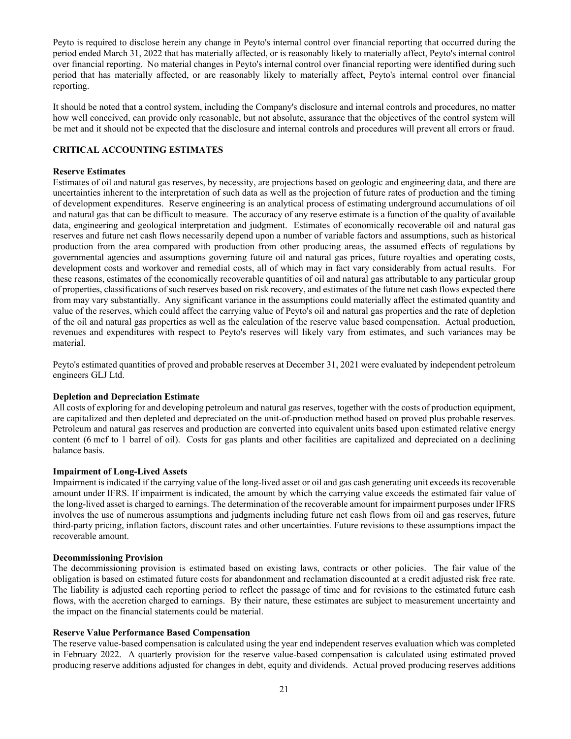Peyto is required to disclose herein any change in Peyto's internal control over financial reporting that occurred during the period ended March 31, 2022 that has materially affected, or is reasonably likely to materially affect, Peyto's internal control over financial reporting. No material changes in Peyto's internal control over financial reporting were identified during such period that has materially affected, or are reasonably likely to materially affect, Peyto's internal control over financial reporting.

It should be noted that a control system, including the Company's disclosure and internal controls and procedures, no matter how well conceived, can provide only reasonable, but not absolute, assurance that the objectives of the control system will be met and it should not be expected that the disclosure and internal controls and procedures will prevent all errors or fraud.

## **CRITICAL ACCOUNTING ESTIMATES**

#### **Reserve Estimates**

Estimates of oil and natural gas reserves, by necessity, are projections based on geologic and engineering data, and there are uncertainties inherent to the interpretation of such data as well as the projection of future rates of production and the timing of development expenditures. Reserve engineering is an analytical process of estimating underground accumulations of oil and natural gas that can be difficult to measure. The accuracy of any reserve estimate is a function of the quality of available data, engineering and geological interpretation and judgment. Estimates of economically recoverable oil and natural gas reserves and future net cash flows necessarily depend upon a number of variable factors and assumptions, such as historical production from the area compared with production from other producing areas, the assumed effects of regulations by governmental agencies and assumptions governing future oil and natural gas prices, future royalties and operating costs, development costs and workover and remedial costs, all of which may in fact vary considerably from actual results. For these reasons, estimates of the economically recoverable quantities of oil and natural gas attributable to any particular group of properties, classifications of such reserves based on risk recovery, and estimates of the future net cash flows expected there from may vary substantially. Any significant variance in the assumptions could materially affect the estimated quantity and value of the reserves, which could affect the carrying value of Peyto's oil and natural gas properties and the rate of depletion of the oil and natural gas properties as well as the calculation of the reserve value based compensation. Actual production, revenues and expenditures with respect to Peyto's reserves will likely vary from estimates, and such variances may be material.

Peyto's estimated quantities of proved and probable reserves at December 31, 2021 were evaluated by independent petroleum engineers GLJ Ltd.

#### **Depletion and Depreciation Estimate**

All costs of exploring for and developing petroleum and natural gas reserves, together with the costs of production equipment, are capitalized and then depleted and depreciated on the unit-of-production method based on proved plus probable reserves. Petroleum and natural gas reserves and production are converted into equivalent units based upon estimated relative energy content (6 mcf to 1 barrel of oil). Costs for gas plants and other facilities are capitalized and depreciated on a declining balance basis.

#### **Impairment of Long-Lived Assets**

Impairment is indicated if the carrying value of the long-lived asset or oil and gas cash generating unit exceeds its recoverable amount under IFRS. If impairment is indicated, the amount by which the carrying value exceeds the estimated fair value of the long-lived asset is charged to earnings. The determination of the recoverable amount for impairment purposes under IFRS involves the use of numerous assumptions and judgments including future net cash flows from oil and gas reserves, future third-party pricing, inflation factors, discount rates and other uncertainties. Future revisions to these assumptions impact the recoverable amount.

#### **Decommissioning Provision**

The decommissioning provision is estimated based on existing laws, contracts or other policies. The fair value of the obligation is based on estimated future costs for abandonment and reclamation discounted at a credit adjusted risk free rate. The liability is adjusted each reporting period to reflect the passage of time and for revisions to the estimated future cash flows, with the accretion charged to earnings. By their nature, these estimates are subject to measurement uncertainty and the impact on the financial statements could be material.

#### **Reserve Value Performance Based Compensation**

The reserve value-based compensation is calculated using the year end independent reserves evaluation which was completed in February 2022. A quarterly provision for the reserve value-based compensation is calculated using estimated proved producing reserve additions adjusted for changes in debt, equity and dividends. Actual proved producing reserves additions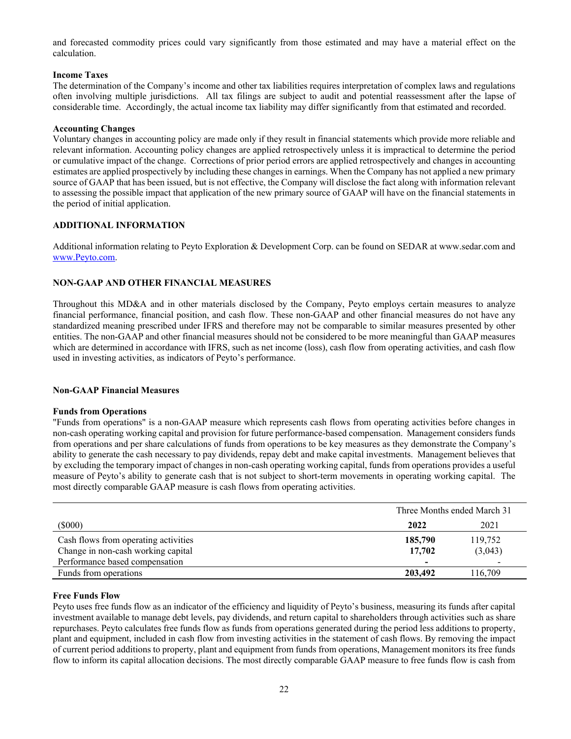and forecasted commodity prices could vary significantly from those estimated and may have a material effect on the calculation.

## **Income Taxes**

The determination of the Company's income and other tax liabilities requires interpretation of complex laws and regulations often involving multiple jurisdictions. All tax filings are subject to audit and potential reassessment after the lapse of considerable time. Accordingly, the actual income tax liability may differ significantly from that estimated and recorded.

## **Accounting Changes**

Voluntary changes in accounting policy are made only if they result in financial statements which provide more reliable and relevant information. Accounting policy changes are applied retrospectively unless it is impractical to determine the period or cumulative impact of the change. Corrections of prior period errors are applied retrospectively and changes in accounting estimates are applied prospectively by including these changes in earnings. When the Company has not applied a new primary source of GAAP that has been issued, but is not effective, the Company will disclose the fact along with information relevant to assessing the possible impact that application of the new primary source of GAAP will have on the financial statements in the period of initial application.

## **ADDITIONAL INFORMATION**

Additional information relating to Peyto Exploration & Development Corp. can be found on SEDAR at www.sedar.com and www.Peyto.com.

## **NON-GAAP AND OTHER FINANCIAL MEASURES**

Throughout this MD&A and in other materials disclosed by the Company, Peyto employs certain measures to analyze financial performance, financial position, and cash flow. These non-GAAP and other financial measures do not have any standardized meaning prescribed under IFRS and therefore may not be comparable to similar measures presented by other entities. The non-GAAP and other financial measures should not be considered to be more meaningful than GAAP measures which are determined in accordance with IFRS, such as net income (loss), cash flow from operating activities, and cash flow used in investing activities, as indicators of Peyto's performance.

#### **Non-GAAP Financial Measures**

#### **Funds from Operations**

"Funds from operations" is a non-GAAP measure which represents cash flows from operating activities before changes in non-cash operating working capital and provision for future performance-based compensation. Management considers funds from operations and per share calculations of funds from operations to be key measures as they demonstrate the Company's ability to generate the cash necessary to pay dividends, repay debt and make capital investments. Management believes that by excluding the temporary impact of changes in non-cash operating working capital, funds from operations provides a useful measure of Peyto's ability to generate cash that is not subject to short-term movements in operating working capital. The most directly comparable GAAP measure is cash flows from operating activities.

|                                      | Three Months ended March 31 |                          |  |
|--------------------------------------|-----------------------------|--------------------------|--|
| $(\$000)$                            | 2022                        | 2021                     |  |
| Cash flows from operating activities | 185,790                     | 119,752                  |  |
| Change in non-cash working capital   | 17,702                      | (3,043)                  |  |
| Performance based compensation       |                             | $\overline{\phantom{0}}$ |  |
| Funds from operations                | 203,492                     | 116.709                  |  |

#### **Free Funds Flow**

Peyto uses free funds flow as an indicator of the efficiency and liquidity of Peyto's business, measuring its funds after capital investment available to manage debt levels, pay dividends, and return capital to shareholders through activities such as share repurchases. Peyto calculates free funds flow as funds from operations generated during the period less additions to property, plant and equipment, included in cash flow from investing activities in the statement of cash flows. By removing the impact of current period additions to property, plant and equipment from funds from operations, Management monitors its free funds flow to inform its capital allocation decisions. The most directly comparable GAAP measure to free funds flow is cash from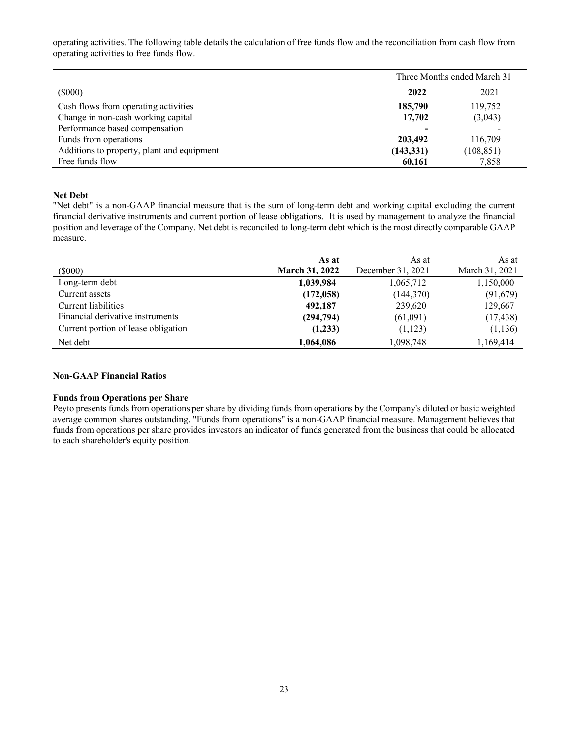operating activities. The following table details the calculation of free funds flow and the reconciliation from cash flow from operating activities to free funds flow.

|                                            | Three Months ended March 31 |            |  |
|--------------------------------------------|-----------------------------|------------|--|
| $(\$000)$                                  | 2022                        | 2021       |  |
| Cash flows from operating activities       | 185,790                     | 119,752    |  |
| Change in non-cash working capital         | 17,702                      | (3,043)    |  |
| Performance based compensation             |                             |            |  |
| Funds from operations                      | 203,492                     | 116,709    |  |
| Additions to property, plant and equipment | (143, 331)                  | (108, 851) |  |
| Free funds flow                            | 60,161                      | 7,858      |  |

#### **Net Debt**

"Net debt" is a non-GAAP financial measure that is the sum of long-term debt and working capital excluding the current financial derivative instruments and current portion of lease obligations. It is used by management to analyze the financial position and leverage of the Company. Net debt is reconciled to long-term debt which is the most directly comparable GAAP measure.

|                                     | As at                 | As at             | As at          |
|-------------------------------------|-----------------------|-------------------|----------------|
| (5000)                              | <b>March 31, 2022</b> | December 31, 2021 | March 31, 2021 |
| Long-term debt                      | 1,039,984             | 1,065,712         | 1,150,000      |
| Current assets                      | (172, 058)            | (144, 370)        | (91,679)       |
| Current liabilities                 | 492,187               | 239,620           | 129,667        |
| Financial derivative instruments    | (294, 794)            | (61,091)          | (17, 438)      |
| Current portion of lease obligation | (1,233)               | (1, 123)          | (1, 136)       |
| Net debt                            | 1,064,086             | 1,098,748         | 1,169,414      |

## **Non-GAAP Financial Ratios**

#### **Funds from Operations per Share**

Peyto presents funds from operations per share by dividing funds from operations by the Company's diluted or basic weighted average common shares outstanding. "Funds from operations" is a non-GAAP financial measure. Management believes that funds from operations per share provides investors an indicator of funds generated from the business that could be allocated to each shareholder's equity position.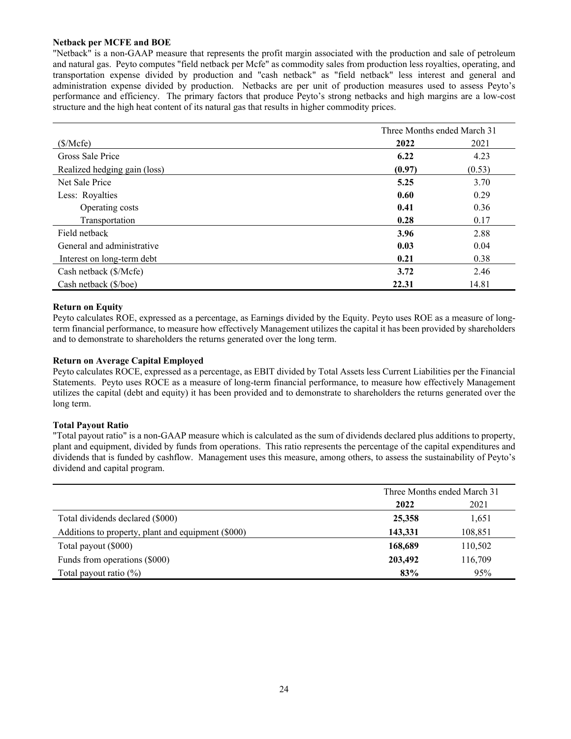#### **Netback per MCFE and BOE**

"Netback" is a non-GAAP measure that represents the profit margin associated with the production and sale of petroleum and natural gas. Peyto computes "field netback per Mcfe" as commodity sales from production less royalties, operating, and transportation expense divided by production and "cash netback" as "field netback" less interest and general and administration expense divided by production. Netbacks are per unit of production measures used to assess Peyto's performance and efficiency. The primary factors that produce Peyto's strong netbacks and high margins are a low-cost structure and the high heat content of its natural gas that results in higher commodity prices.

|                              |        | Three Months ended March 31 |  |  |
|------------------------------|--------|-----------------------------|--|--|
| (\$/Mcfe)                    | 2022   | 2021                        |  |  |
| Gross Sale Price             | 6.22   | 4.23                        |  |  |
| Realized hedging gain (loss) | (0.97) | (0.53)                      |  |  |
| Net Sale Price               | 5.25   | 3.70                        |  |  |
| Less: Royalties              | 0.60   | 0.29                        |  |  |
| Operating costs              | 0.41   | 0.36                        |  |  |
| Transportation               | 0.28   | 0.17                        |  |  |
| Field netback                | 3.96   | 2.88                        |  |  |
| General and administrative   | 0.03   | 0.04                        |  |  |
| Interest on long-term debt   | 0.21   | 0.38                        |  |  |
| Cash netback (\$/Mcfe)       | 3.72   | 2.46                        |  |  |
| Cash netback (\$/boe)        | 22.31  | 14.81                       |  |  |

## **Return on Equity**

Peyto calculates ROE, expressed as a percentage, as Earnings divided by the Equity. Peyto uses ROE as a measure of longterm financial performance, to measure how effectively Management utilizes the capital it has been provided by shareholders and to demonstrate to shareholders the returns generated over the long term.

## **Return on Average Capital Employed**

Peyto calculates ROCE, expressed as a percentage, as EBIT divided by Total Assets less Current Liabilities per the Financial Statements. Peyto uses ROCE as a measure of long-term financial performance, to measure how effectively Management utilizes the capital (debt and equity) it has been provided and to demonstrate to shareholders the returns generated over the long term.

#### **Total Payout Ratio**

"Total payout ratio" is a non-GAAP measure which is calculated as the sum of dividends declared plus additions to property, plant and equipment, divided by funds from operations. This ratio represents the percentage of the capital expenditures and dividends that is funded by cashflow. Management uses this measure, among others, to assess the sustainability of Peyto's dividend and capital program.

|                                                    | Three Months ended March 31 |         |  |
|----------------------------------------------------|-----------------------------|---------|--|
|                                                    | 2021<br>2022                |         |  |
| Total dividends declared (\$000)                   | 25,358                      | 1,651   |  |
| Additions to property, plant and equipment (\$000) | 143,331<br>108,851          |         |  |
| Total payout (\$000)                               | 168,689                     | 110,502 |  |
| Funds from operations (\$000)                      | 203,492                     | 116,709 |  |
| Total payout ratio $(\%)$                          | 83%                         | 95%     |  |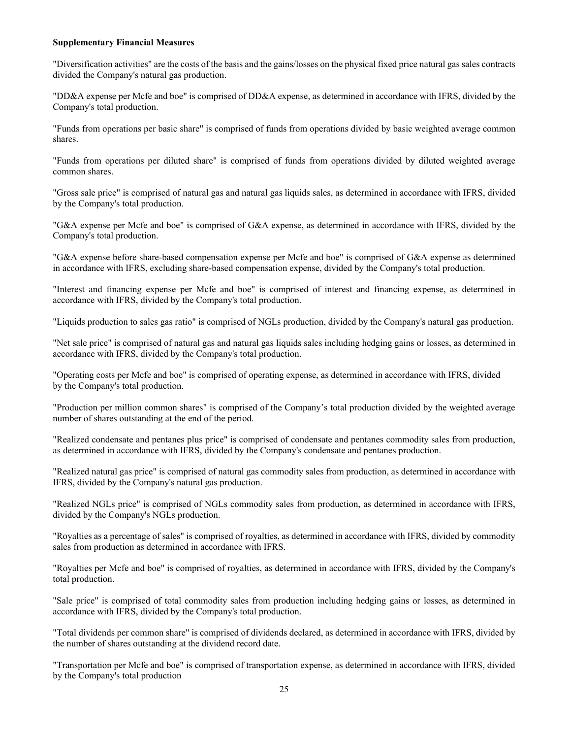## **Supplementary Financial Measures**

"Diversification activities" are the costs of the basis and the gains/losses on the physical fixed price natural gas sales contracts divided the Company's natural gas production.

"DD&A expense per Mcfe and boe" is comprised of DD&A expense, as determined in accordance with IFRS, divided by the Company's total production.

"Funds from operations per basic share" is comprised of funds from operations divided by basic weighted average common shares.

"Funds from operations per diluted share" is comprised of funds from operations divided by diluted weighted average common shares.

"Gross sale price" is comprised of natural gas and natural gas liquids sales, as determined in accordance with IFRS, divided by the Company's total production.

"G&A expense per Mcfe and boe" is comprised of G&A expense, as determined in accordance with IFRS, divided by the Company's total production.

"G&A expense before share-based compensation expense per Mcfe and boe" is comprised of G&A expense as determined in accordance with IFRS, excluding share-based compensation expense, divided by the Company's total production.

"Interest and financing expense per Mcfe and boe" is comprised of interest and financing expense, as determined in accordance with IFRS, divided by the Company's total production.

"Liquids production to sales gas ratio" is comprised of NGLs production, divided by the Company's natural gas production.

"Net sale price" is comprised of natural gas and natural gas liquids sales including hedging gains or losses, as determined in accordance with IFRS, divided by the Company's total production.

"Operating costs per Mcfe and boe" is comprised of operating expense, as determined in accordance with IFRS, divided by the Company's total production.

"Production per million common shares" is comprised of the Company's total production divided by the weighted average number of shares outstanding at the end of the period.

"Realized condensate and pentanes plus price" is comprised of condensate and pentanes commodity sales from production, as determined in accordance with IFRS, divided by the Company's condensate and pentanes production.

"Realized natural gas price" is comprised of natural gas commodity sales from production, as determined in accordance with IFRS, divided by the Company's natural gas production.

"Realized NGLs price" is comprised of NGLs commodity sales from production, as determined in accordance with IFRS, divided by the Company's NGLs production.

"Royalties as a percentage of sales" is comprised of royalties, as determined in accordance with IFRS, divided by commodity sales from production as determined in accordance with IFRS.

"Royalties per Mcfe and boe" is comprised of royalties, as determined in accordance with IFRS, divided by the Company's total production.

"Sale price" is comprised of total commodity sales from production including hedging gains or losses, as determined in accordance with IFRS, divided by the Company's total production.

"Total dividends per common share" is comprised of dividends declared, as determined in accordance with IFRS, divided by the number of shares outstanding at the dividend record date.

"Transportation per Mcfe and boe" is comprised of transportation expense, as determined in accordance with IFRS, divided by the Company's total production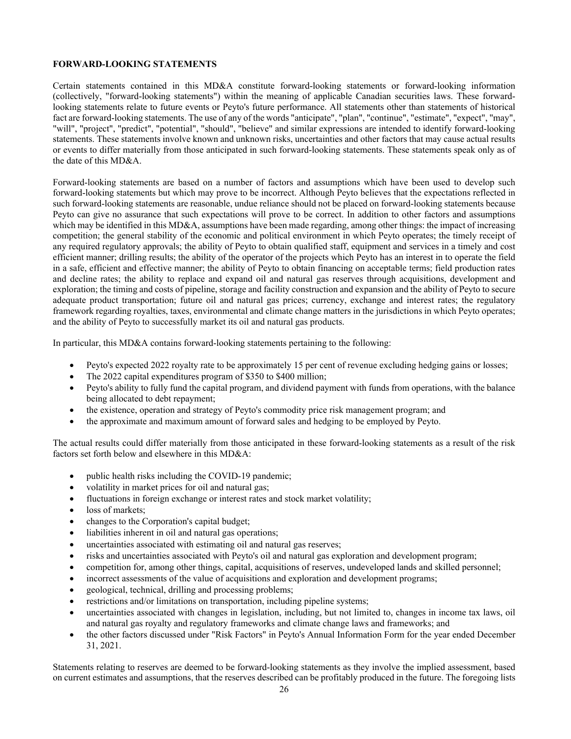## **FORWARD-LOOKING STATEMENTS**

Certain statements contained in this MD&A constitute forward-looking statements or forward-looking information (collectively, "forward-looking statements") within the meaning of applicable Canadian securities laws. These forwardlooking statements relate to future events or Peyto's future performance. All statements other than statements of historical fact are forward-looking statements. The use of any of the words "anticipate", "plan", "continue", "estimate", "expect", "may", "will", "project", "predict", "potential", "should", "believe" and similar expressions are intended to identify forward-looking statements. These statements involve known and unknown risks, uncertainties and other factors that may cause actual results or events to differ materially from those anticipated in such forward-looking statements. These statements speak only as of the date of this MD&A.

Forward-looking statements are based on a number of factors and assumptions which have been used to develop such forward-looking statements but which may prove to be incorrect. Although Peyto believes that the expectations reflected in such forward-looking statements are reasonable, undue reliance should not be placed on forward-looking statements because Peyto can give no assurance that such expectations will prove to be correct. In addition to other factors and assumptions which may be identified in this MD&A, assumptions have been made regarding, among other things: the impact of increasing competition; the general stability of the economic and political environment in which Peyto operates; the timely receipt of any required regulatory approvals; the ability of Peyto to obtain qualified staff, equipment and services in a timely and cost efficient manner; drilling results; the ability of the operator of the projects which Peyto has an interest in to operate the field in a safe, efficient and effective manner; the ability of Peyto to obtain financing on acceptable terms; field production rates and decline rates; the ability to replace and expand oil and natural gas reserves through acquisitions, development and exploration; the timing and costs of pipeline, storage and facility construction and expansion and the ability of Peyto to secure adequate product transportation; future oil and natural gas prices; currency, exchange and interest rates; the regulatory framework regarding royalties, taxes, environmental and climate change matters in the jurisdictions in which Peyto operates; and the ability of Peyto to successfully market its oil and natural gas products.

In particular, this MD&A contains forward-looking statements pertaining to the following:

- Peyto's expected 2022 royalty rate to be approximately 15 per cent of revenue excluding hedging gains or losses;
- The 2022 capital expenditures program of \$350 to \$400 million;
- Peyto's ability to fully fund the capital program, and dividend payment with funds from operations, with the balance being allocated to debt repayment;
- the existence, operation and strategy of Peyto's commodity price risk management program; and
- the approximate and maximum amount of forward sales and hedging to be employed by Peyto.

The actual results could differ materially from those anticipated in these forward-looking statements as a result of the risk factors set forth below and elsewhere in this MD&A:

- public health risks including the COVID-19 pandemic;
- volatility in market prices for oil and natural gas;
- fluctuations in foreign exchange or interest rates and stock market volatility;
- loss of markets;
- changes to the Corporation's capital budget;
- liabilities inherent in oil and natural gas operations;
- uncertainties associated with estimating oil and natural gas reserves;
- risks and uncertainties associated with Peyto's oil and natural gas exploration and development program;
- competition for, among other things, capital, acquisitions of reserves, undeveloped lands and skilled personnel;
- incorrect assessments of the value of acquisitions and exploration and development programs;
- geological, technical, drilling and processing problems;
- restrictions and/or limitations on transportation, including pipeline systems;
- uncertainties associated with changes in legislation, including, but not limited to, changes in income tax laws, oil and natural gas royalty and regulatory frameworks and climate change laws and frameworks; and
- the other factors discussed under "Risk Factors" in Peyto's Annual Information Form for the year ended December 31, 2021.

Statements relating to reserves are deemed to be forward-looking statements as they involve the implied assessment, based on current estimates and assumptions, that the reserves described can be profitably produced in the future. The foregoing lists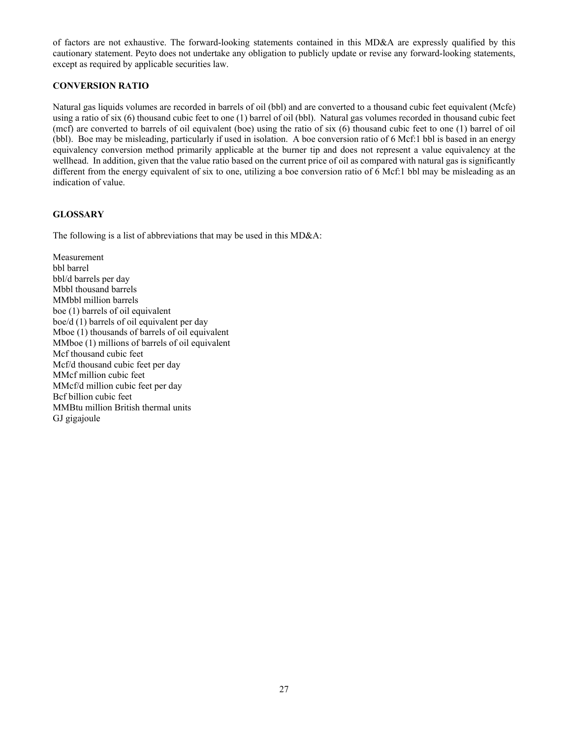of factors are not exhaustive. The forward-looking statements contained in this MD&A are expressly qualified by this cautionary statement. Peyto does not undertake any obligation to publicly update or revise any forward-looking statements, except as required by applicable securities law.

## **CONVERSION RATIO**

Natural gas liquids volumes are recorded in barrels of oil (bbl) and are converted to a thousand cubic feet equivalent (Mcfe) using a ratio of six (6) thousand cubic feet to one (1) barrel of oil (bbl). Natural gas volumes recorded in thousand cubic feet (mcf) are converted to barrels of oil equivalent (boe) using the ratio of six (6) thousand cubic feet to one (1) barrel of oil (bbl). Boe may be misleading, particularly if used in isolation. A boe conversion ratio of 6 Mcf:1 bbl is based in an energy equivalency conversion method primarily applicable at the burner tip and does not represent a value equivalency at the wellhead. In addition, given that the value ratio based on the current price of oil as compared with natural gas is significantly different from the energy equivalent of six to one, utilizing a boe conversion ratio of 6 Mcf:1 bbl may be misleading as an indication of value.

## **GLOSSARY**

The following is a list of abbreviations that may be used in this MD&A:

Measurement bbl barrel bbl/d barrels per day Mbbl thousand barrels MMbbl million barrels boe (1) barrels of oil equivalent boe/d (1) barrels of oil equivalent per day Mboe (1) thousands of barrels of oil equivalent MMboe (1) millions of barrels of oil equivalent Mcf thousand cubic feet Mcf/d thousand cubic feet per day MMcf million cubic feet MMcf/d million cubic feet per day Bcf billion cubic feet MMBtu million British thermal units GJ gigajoule